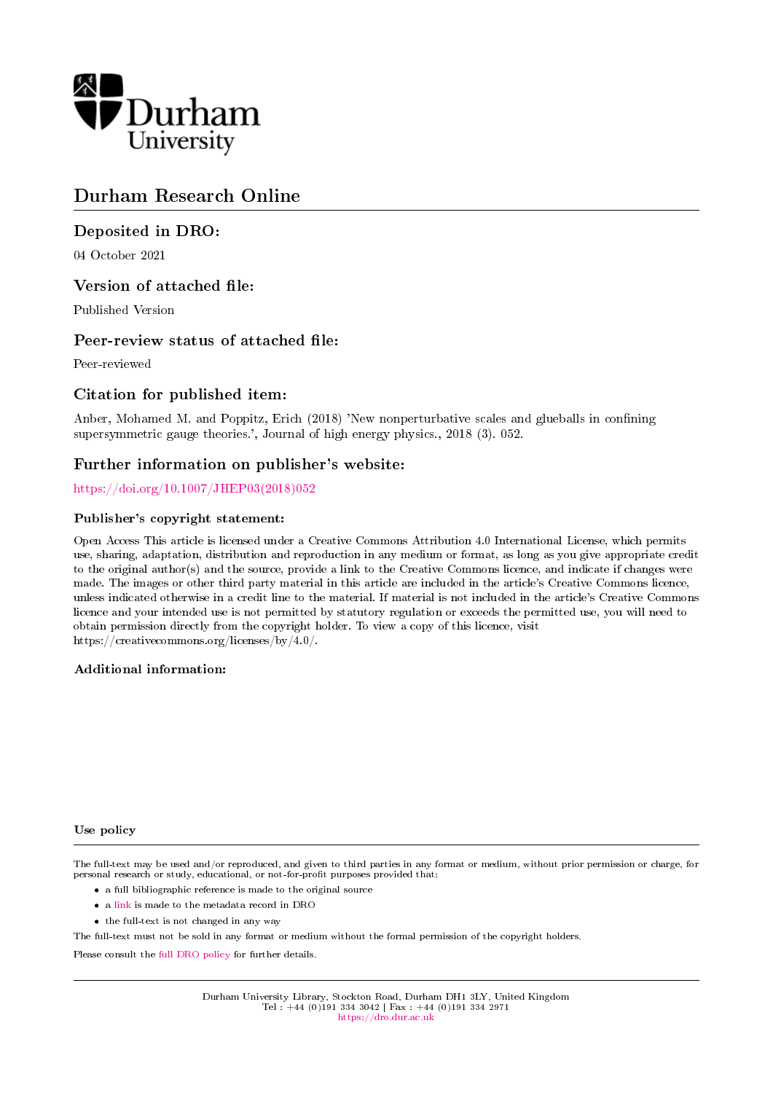

## Durham Research Online

## Deposited in DRO:

04 October 2021

## Version of attached file:

Published Version

## Peer-review status of attached file:

Peer-reviewed

## Citation for published item:

Anber, Mohamed M. and Poppitz, Erich (2018) 'New nonperturbative scales and glueballs in confining supersymmetric gauge theories.', Journal of high energy physics., 2018 (3). 052.

## Further information on publisher's website:

[https://doi.org/10.1007/JHEP03\(2018\)052](https://doi.org/10.1007/JHEP03(2018)052)

#### Publisher's copyright statement:

Open Access This article is licensed under a Creative Commons Attribution 4.0 International License, which permits use, sharing, adaptation, distribution and reproduction in any medium or format, as long as you give appropriate credit to the original author(s) and the source, provide a link to the Creative Commons licence, and indicate if changes were made. The images or other third party material in this article are included in the article's Creative Commons licence, unless indicated otherwise in a credit line to the material. If material is not included in the article's Creative Commons licence and your intended use is not permitted by statutory regulation or exceeds the permitted use, you will need to obtain permission directly from the copyright holder. To view a copy of this licence, visit https://creativecommons.org/licenses/by/4.0/.

#### Additional information:

#### Use policy

The full-text may be used and/or reproduced, and given to third parties in any format or medium, without prior permission or charge, for personal research or study, educational, or not-for-profit purposes provided that:

- a full bibliographic reference is made to the original source
- a [link](http://dro.dur.ac.uk/34052/) is made to the metadata record in DRO
- the full-text is not changed in any way

The full-text must not be sold in any format or medium without the formal permission of the copyright holders.

Please consult the [full DRO policy](https://dro.dur.ac.uk/policies/usepolicy.pdf) for further details.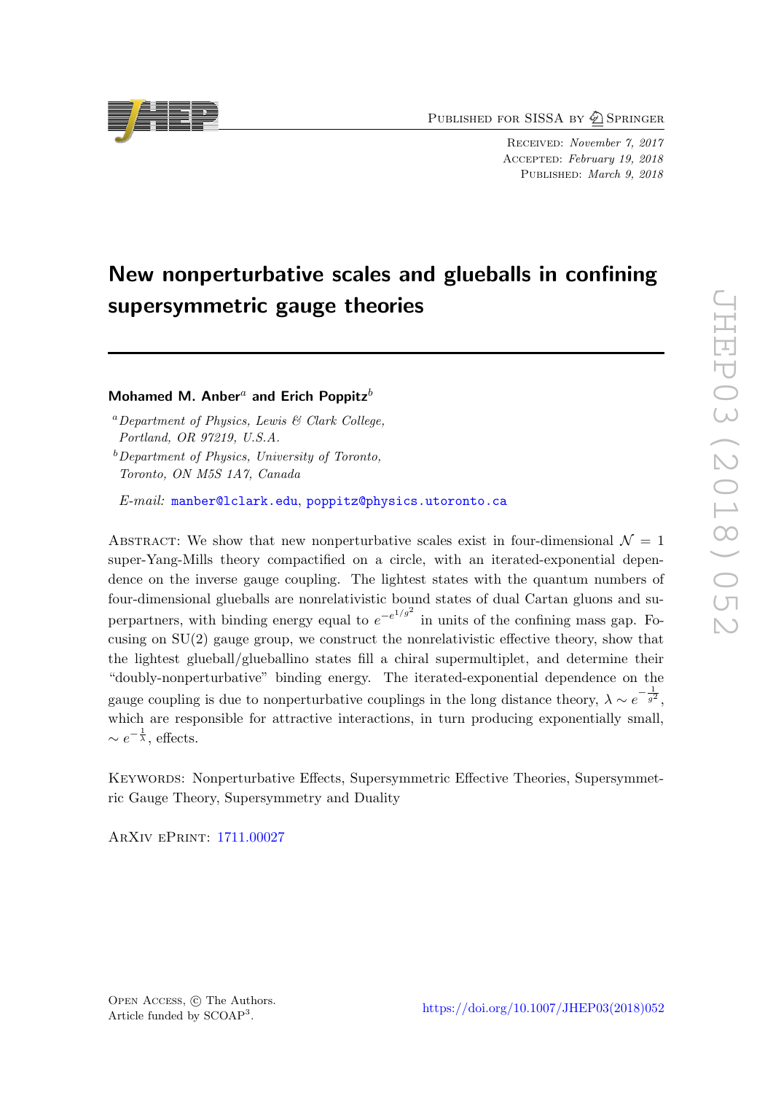PUBLISHED FOR SISSA BY 2 SPRINGER

Received: November 7, 2017 Accepted: February 19, 2018 PUBLISHED: March 9, 2018

# New nonperturbative scales and glueballs in confining supersymmetric gauge theories

## Mohamed M. Anber<sup>a</sup> and Erich Poppitz<sup>b</sup>

 ${}^a$ Department of Physics, Lewis & Clark College, Portland, OR 97219, U.S.A.

 $b$ Department of Physics, University of Toronto, Toronto, ON M5S 1A7, Canada

E-mail: [manber@lclark.edu](mailto:manber@lclark.edu), [poppitz@physics.utoronto.ca](mailto:poppitz@physics.utoronto.ca)

ABSTRACT: We show that new nonperturbative scales exist in four-dimensional  $\mathcal{N} = 1$ super-Yang-Mills theory compactified on a circle, with an iterated-exponential dependence on the inverse gauge coupling. The lightest states with the quantum numbers of four-dimensional glueballs are nonrelativistic bound states of dual Cartan gluons and superpartners, with binding energy equal to  $e^{-e^{1/g^2}}$  in units of the confining mass gap. Focusing on SU(2) gauge group, we construct the nonrelativistic effective theory, show that the lightest glueball/glueballino states fill a chiral supermultiplet, and determine their "doubly-nonperturbative" binding energy. The iterated-exponential dependence on the gauge coupling is due to nonperturbative couplings in the long distance theory,  $\lambda \sim e^{-\frac{1}{g^2}}$ , which are responsible for attractive interactions, in turn producing exponentially small,  $\sim e^{-\frac{1}{\lambda}},$  effects.

Keywords: Nonperturbative Effects, Supersymmetric Effective Theories, Supersymmetric Gauge Theory, Supersymmetry and Duality

ArXiv ePrint: [1711.00027](https://arxiv.org/abs/1711.00027)

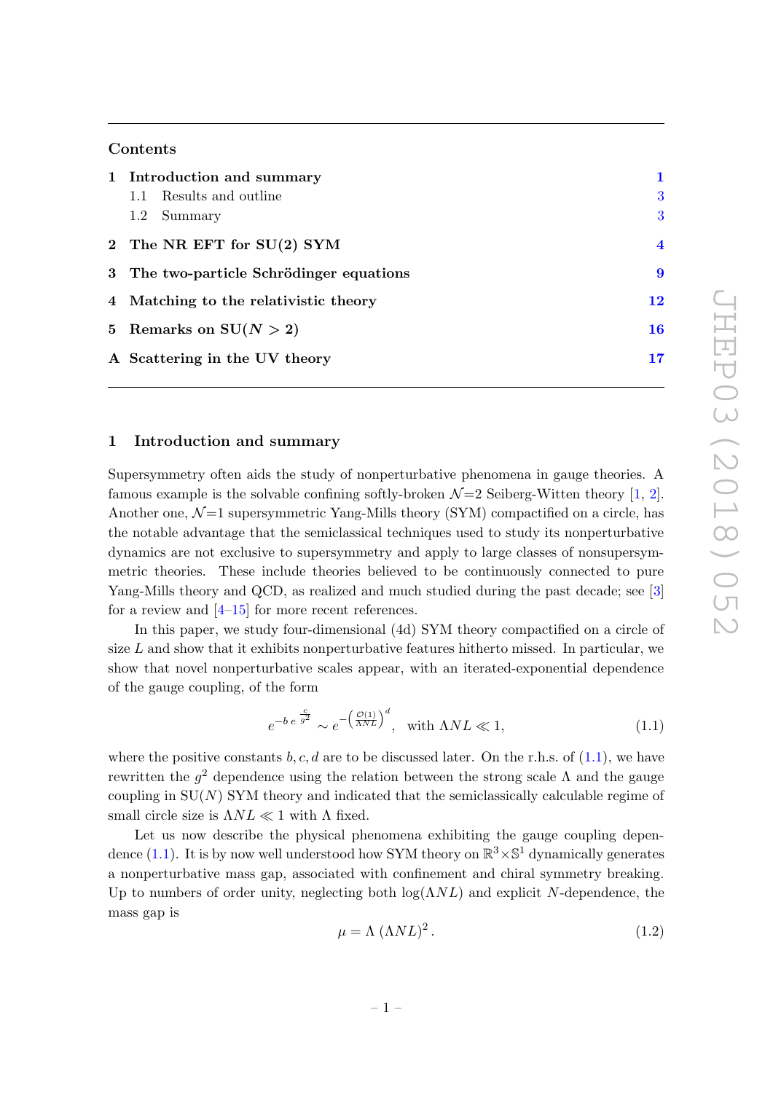## Contents

| 1 Introduction and summary               |                |
|------------------------------------------|----------------|
| 1.1 Results and outline                  | 3              |
| 1.2 Summary                              | 3              |
| 2 The NR EFT for SU(2) SYM               | $\overline{4}$ |
| 3 The two-particle Schrödinger equations | -9             |
| 4 Matching to the relativistic theory    | 12             |
| 5 Remarks on $SU(N > 2)$                 | 16             |
| A Scattering in the UV theory            | 17             |
|                                          |                |

#### <span id="page-2-0"></span>1 Introduction and summary

Supersymmetry often aids the study of nonperturbative phenomena in gauge theories. A famous example is the solvable confining softly-broken  $\mathcal{N}=2$  Seiberg-Witten theory [\[1,](#page-26-0) [2\]](#page-26-1). Another one,  $\mathcal{N}=1$  supersymmetric Yang-Mills theory (SYM) compactified on a circle, has the notable advantage that the semiclassical techniques used to study its nonperturbative dynamics are not exclusive to supersymmetry and apply to large classes of nonsupersymmetric theories. These include theories believed to be continuously connected to pure Yang-Mills theory and QCD, as realized and much studied during the past decade; see [\[3\]](#page-26-2) for a review and  $[4-15]$  $[4-15]$  for more recent references.

In this paper, we study four-dimensional (4d) SYM theory compactified on a circle of size  $L$  and show that it exhibits nonperturbative features hitherto missed. In particular, we show that novel nonperturbative scales appear, with an iterated-exponential dependence of the gauge coupling, of the form

<span id="page-2-1"></span>
$$
e^{-b e^{\frac{c}{g^2}}} \sim e^{-\left(\frac{\mathcal{O}(1)}{\Lambda NL}\right)^d}, \quad \text{with } \Lambda NL \ll 1,
$$
\n(1.1)

where the positive constants b, c, d are to be discussed later. On the r.h.s. of  $(1.1)$ , we have rewritten the  $g^2$  dependence using the relation between the strong scale  $\Lambda$  and the gauge coupling in  $SU(N)$  SYM theory and indicated that the semiclassically calculable regime of small circle size is  $\Lambda NL \ll 1$  with  $\Lambda$  fixed.

Let us now describe the physical phenomena exhibiting the gauge coupling depen-dence [\(1.1\)](#page-2-1). It is by now well understood how SYM theory on  $\mathbb{R}^3 \times \mathbb{S}^1$  dynamically generates a nonperturbative mass gap, associated with confinement and chiral symmetry breaking. Up to numbers of order unity, neglecting both  $log(\Lambda NL)$  and explicit N-dependence, the mass gap is

$$
\mu = \Lambda \ (\Lambda NL)^2 \,. \tag{1.2}
$$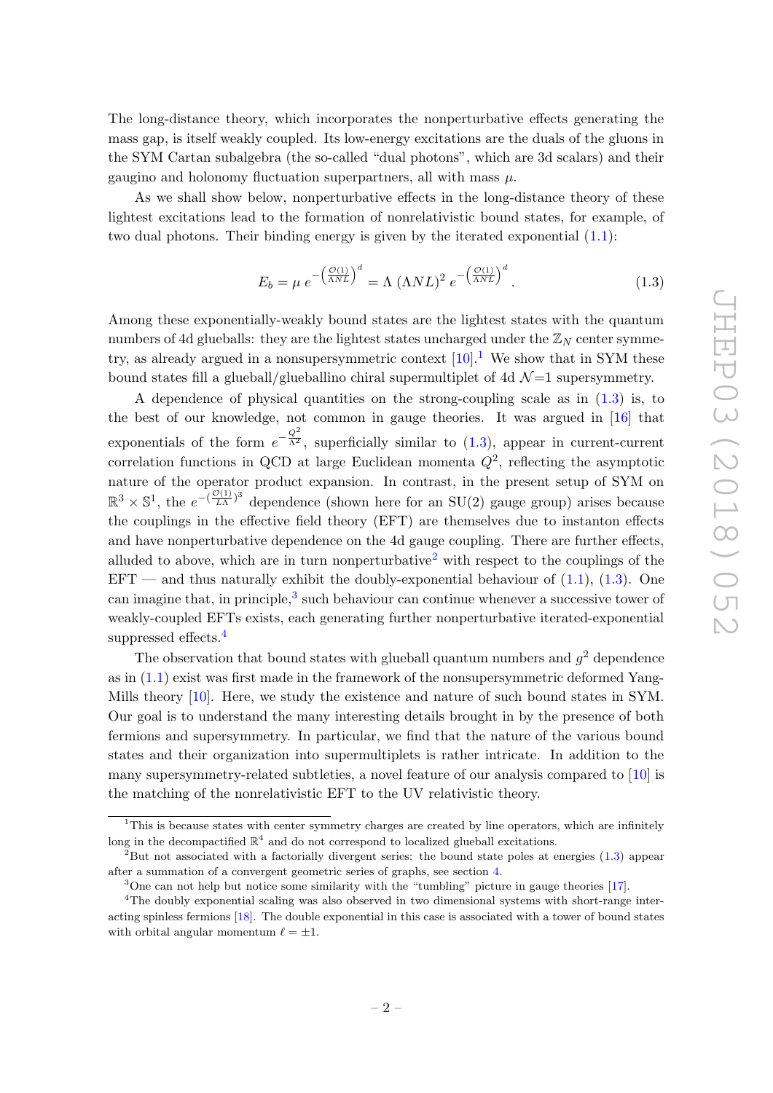The long-distance theory, which incorporates the nonperturbative effects generating the mass gap, is itself weakly coupled. Its low-energy excitations are the duals of the gluons in the SYM Cartan subalgebra (the so-called "dual photons", which are 3d scalars) and their gaugino and holonomy fluctuation superpartners, all with mass  $\mu$ .

As we shall show below, nonperturbative effects in the long-distance theory of these lightest excitations lead to the formation of nonrelativistic bound states, for example, of two dual photons. Their binding energy is given by the iterated exponential  $(1.1)$ :

<span id="page-3-1"></span>
$$
E_b = \mu e^{-\left(\frac{\mathcal{O}(1)}{\Lambda NL}\right)^d} = \Lambda \left(\Lambda NL\right)^2 e^{-\left(\frac{\mathcal{O}(1)}{\Lambda NL}\right)^d}.
$$
\n(1.3)

Among these exponentially-weakly bound states are the lightest states with the quantum numbers of 4d glueballs: they are the lightest states uncharged under the  $\mathbb{Z}_N$  center symmetry, as already argued in a nonsupersymmetric context  $[10].<sup>1</sup>$  $[10].<sup>1</sup>$  $[10].<sup>1</sup>$  $[10].<sup>1</sup>$  We show that in SYM these bound states fill a glueball/glueballino chiral supermultiplet of 4d  $\mathcal{N}=1$  supersymmetry.

A dependence of physical quantities on the strong-coupling scale as in [\(1.3\)](#page-3-1) is, to the best of our knowledge, not common in gauge theories. It was argued in [\[16\]](#page-27-2) that exponentials of the form  $e^{-\frac{Q^2}{\Lambda^2}}$ , superficially similar to [\(1.3\)](#page-3-1), appear in current-current correlation functions in QCD at large Euclidean momenta  $Q^2$ , reflecting the asymptotic nature of the operator product expansion. In contrast, in the present setup of SYM on  $\mathbb{R}^3 \times \mathbb{S}^1$ , the  $e^{-(\frac{\mathcal{O}(1)}{LA})^3}$  dependence (shown here for an SU(2) gauge group) arises because the couplings in the effective field theory (EFT) are themselves due to instanton effects and have nonperturbative dependence on the 4d gauge coupling. There are further effects, alluded to above, which are in turn nonperturbative<sup>[2](#page-3-2)</sup> with respect to the couplings of the  $EFT$  — and thus naturally exhibit the doubly-exponential behaviour of  $(1.1)$ ,  $(1.3)$ . One can imagine that, in principle,<sup>[3](#page-3-3)</sup> such behaviour can continue whenever a successive tower of weakly-coupled EFTs exists, each generating further nonperturbative iterated-exponential suppressed effects.<sup>[4](#page-3-4)</sup>

The observation that bound states with glueball quantum numbers and  $g^2$  dependence as in  $(1.1)$  exist was first made in the framework of the nonsupersymmetric deformed Yang-Mills theory [\[10\]](#page-27-1). Here, we study the existence and nature of such bound states in SYM. Our goal is to understand the many interesting details brought in by the presence of both fermions and supersymmetry. In particular, we find that the nature of the various bound states and their organization into supermultiplets is rather intricate. In addition to the many supersymmetry-related subtleties, a novel feature of our analysis compared to [\[10\]](#page-27-1) is the matching of the nonrelativistic EFT to the UV relativistic theory.

<span id="page-3-0"></span> $1$ This is because states with center symmetry charges are created by line operators, which are infinitely long in the decompactified  $\mathbb{R}^4$  and do not correspond to localized glueball excitations.

<span id="page-3-2"></span><sup>&</sup>lt;sup>2</sup>But not associated with a factorially divergent series: the bound state poles at energies [\(1.3\)](#page-3-1) appear after a summation of a convergent geometric series of graphs, see section [4.](#page-13-0)

<span id="page-3-4"></span><span id="page-3-3"></span> $3$ One can not help but notice some similarity with the "tumbling" picture in gauge theories [\[17\]](#page-27-3).

<sup>&</sup>lt;sup>4</sup>The doubly exponential scaling was also observed in two dimensional systems with short-range interacting spinless fermions [\[18\]](#page-27-4). The double exponential in this case is associated with a tower of bound states with orbital angular momentum  $\ell = \pm 1$ .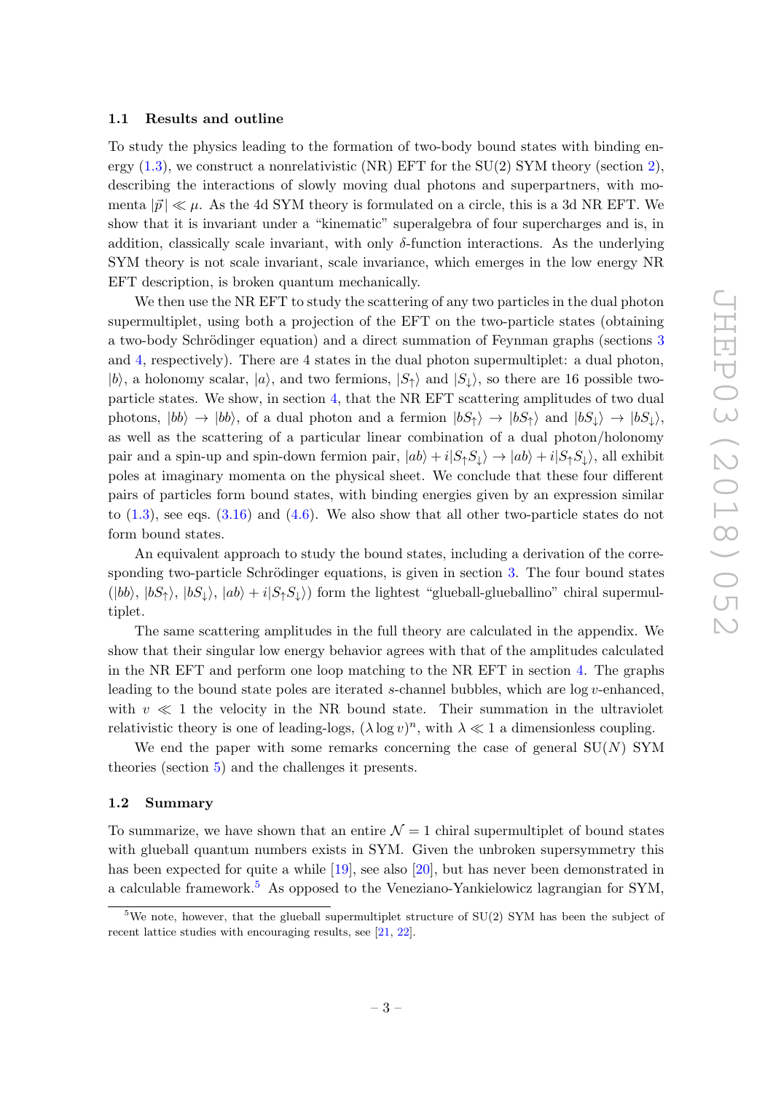#### <span id="page-4-0"></span>1.1 Results and outline

To study the physics leading to the formation of two-body bound states with binding energy  $(1.3)$ , we construct a nonrelativistic (NR) EFT for the SU([2\)](#page-5-0) SYM theory (section 2), describing the interactions of slowly moving dual photons and superpartners, with momenta  $|\vec{p}| \ll \mu$ . As the 4d SYM theory is formulated on a circle, this is a 3d NR EFT. We show that it is invariant under a "kinematic" superalgebra of four supercharges and is, in addition, classically scale invariant, with only  $\delta$ -function interactions. As the underlying SYM theory is not scale invariant, scale invariance, which emerges in the low energy NR EFT description, is broken quantum mechanically.

We then use the NR EFT to study the scattering of any two particles in the dual photon supermultiplet, using both a projection of the EFT on the two-particle states (obtaining a two-body Schrödinger equation) and a direct summation of Feynman graphs (sections [3](#page-10-0) and [4,](#page-13-0) respectively). There are 4 states in the dual photon supermultiplet: a dual photon,  $|b\rangle$ , a holonomy scalar,  $|a\rangle$ , and two fermions,  $|S_{\uparrow}\rangle$  and  $|S_{\downarrow}\rangle$ , so there are 16 possible twoparticle states. We show, in section [4,](#page-13-0) that the NR EFT scattering amplitudes of two dual photons,  $|bb\rangle \rightarrow |bb\rangle$ , of a dual photon and a fermion  $|bS_+\rangle \rightarrow |bS_+\rangle$  and  $|bS_\perp\rangle \rightarrow |bS_\perp\rangle$ , as well as the scattering of a particular linear combination of a dual photon/holonomy pair and a spin-up and spin-down fermion pair,  $|ab\rangle + i|S_{\uparrow}S_{\downarrow}\rangle \rightarrow |ab\rangle + i|S_{\uparrow}S_{\downarrow}\rangle$ , all exhibit poles at imaginary momenta on the physical sheet. We conclude that these four different pairs of particles form bound states, with binding energies given by an expression similar to  $(1.3)$ , see eqs.  $(3.16)$  and  $(4.6)$ . We also show that all other two-particle states do not form bound states.

An equivalent approach to study the bound states, including a derivation of the corresponding two-particle Schrödinger equations, is given in section  $3$ . The four bound states  $(|bb\rangle, |bS_{\uparrow}\rangle, |bS_{\downarrow}\rangle, |ab\rangle + i|S_{\uparrow}S_{\downarrow}\rangle)$  form the lightest "glueball-glueballino" chiral supermultiplet.

The same scattering amplitudes in the full theory are calculated in the appendix. We show that their singular low energy behavior agrees with that of the amplitudes calculated in the NR EFT and perform one loop matching to the NR EFT in section [4.](#page-13-0) The graphs leading to the bound state poles are iterated s-channel bubbles, which are log v-enhanced, with  $v \ll 1$  the velocity in the NR bound state. Their summation in the ultraviolet relativistic theory is one of leading-logs,  $(\lambda \log v)^n$ , with  $\lambda \ll 1$  a dimensionless coupling.

We end the paper with some remarks concerning the case of general  $SU(N)$  SYM theories (section [5\)](#page-17-0) and the challenges it presents.

#### <span id="page-4-1"></span>1.2 Summary

To summarize, we have shown that an entire  $\mathcal{N} = 1$  chiral supermultiplet of bound states with glueball quantum numbers exists in SYM. Given the unbroken supersymmetry this has been expected for quite a while [\[19\]](#page-27-5), see also [\[20\]](#page-27-6), but has never been demonstrated in a calculable framework.<sup>[5](#page-4-2)</sup> As opposed to the Veneziano-Yankielowicz lagrangian for SYM,

<span id="page-4-2"></span><sup>&</sup>lt;sup>5</sup>We note, however, that the glueball supermultiplet structure of  $SU(2)$  SYM has been the subject of recent lattice studies with encouraging results, see [\[21,](#page-27-7) [22\]](#page-27-8).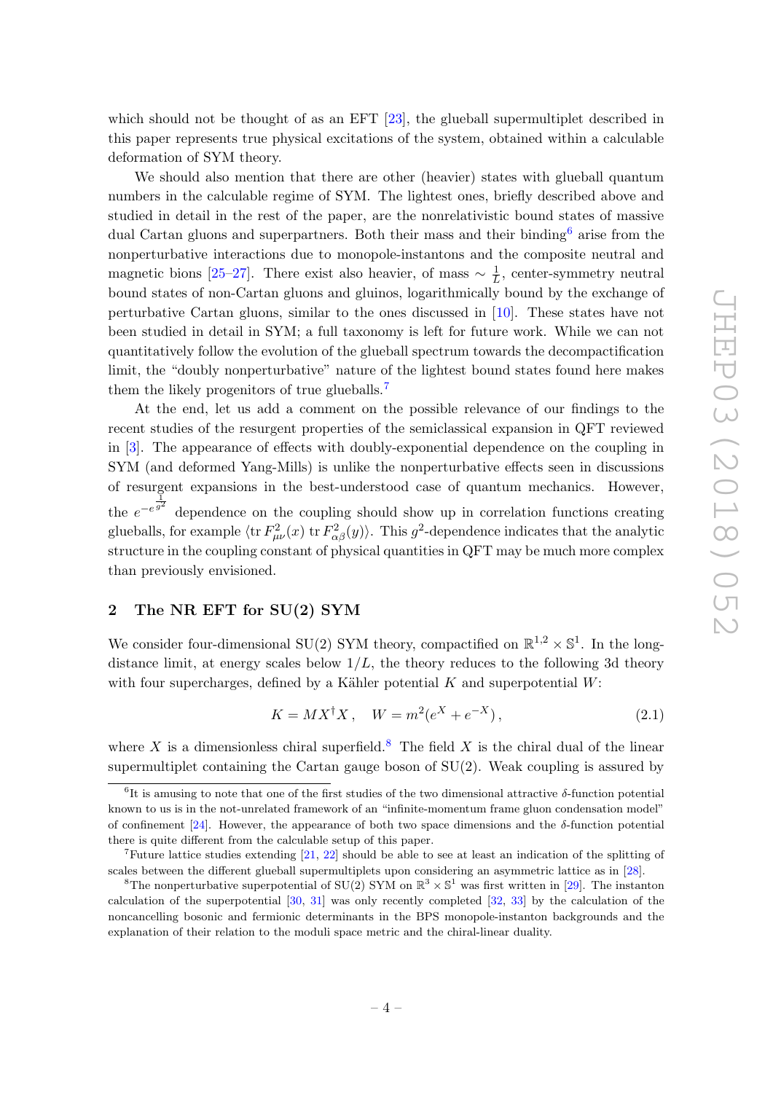which should not be thought of as an EFT [\[23\]](#page-27-9), the glueball supermultiplet described in this paper represents true physical excitations of the system, obtained within a calculable deformation of SYM theory.

We should also mention that there are other (heavier) states with glueball quantum numbers in the calculable regime of SYM. The lightest ones, briefly described above and studied in detail in the rest of the paper, are the nonrelativistic bound states of massive dual Cartan gluons and superpartners. Both their mass and their binding<sup>[6](#page-5-1)</sup> arise from the nonperturbative interactions due to monopole-instantons and the composite neutral and magnetic bions [\[25–](#page-28-0)[27\]](#page-28-1). There exist also heavier, of mass  $\sim \frac{1}{l}$  $\frac{1}{L}$ , center-symmetry neutral bound states of non-Cartan gluons and gluinos, logarithmically bound by the exchange of perturbative Cartan gluons, similar to the ones discussed in [\[10\]](#page-27-1). These states have not been studied in detail in SYM; a full taxonomy is left for future work. While we can not quantitatively follow the evolution of the glueball spectrum towards the decompactification limit, the "doubly nonperturbative" nature of the lightest bound states found here makes them the likely progenitors of true glueballs.<sup>[7](#page-5-2)</sup>

At the end, let us add a comment on the possible relevance of our findings to the recent studies of the resurgent properties of the semiclassical expansion in QFT reviewed in [\[3\]](#page-26-2). The appearance of effects with doubly-exponential dependence on the coupling in SYM (and deformed Yang-Mills) is unlike the nonperturbative effects seen in discussions of resurgent expansions in the best-understood case of quantum mechanics. However, the  $e^{-e^{\frac{1}{g^2}}}$  dependence on the coupling should show up in correlation functions creating glueballs, for example  $\langle \text{tr } F_{\mu\nu}^2(x) \text{ tr } F_{\alpha\beta}^2(y) \rangle$ . This  $g^2$ -dependence indicates that the analytic structure in the coupling constant of physical quantities in QFT may be much more complex than previously envisioned.

#### <span id="page-5-0"></span>2 The NR EFT for SU(2) SYM

We consider four-dimensional SU(2) SYM theory, compactified on  $\mathbb{R}^{1,2} \times \mathbb{S}^1$ . In the longdistance limit, at energy scales below  $1/L$ , the theory reduces to the following 3d theory with four supercharges, defined by a Kähler potential  $K$  and superpotential  $W$ :

<span id="page-5-4"></span>
$$
K = MX^{\dagger}X, \quad W = m^{2}(e^{X} + e^{-X}), \tag{2.1}
$$

where X is a dimensionless chiral superfield.<sup>[8](#page-5-3)</sup> The field X is the chiral dual of the linear supermultiplet containing the Cartan gauge boson of  $SU(2)$ . Weak coupling is assured by

<span id="page-5-1"></span><sup>&</sup>lt;sup>6</sup>It is amusing to note that one of the first studies of the two dimensional attractive  $\delta$ -function potential known to us is in the not-unrelated framework of an "infinite-momentum frame gluon condensation model" of confinement [\[24\]](#page-27-10). However, the appearance of both two space dimensions and the  $\delta$ -function potential there is quite different from the calculable setup of this paper.

<span id="page-5-2"></span><sup>&</sup>lt;sup>7</sup>Future lattice studies extending  $[21, 22]$  $[21, 22]$  $[21, 22]$  should be able to see at least an indication of the splitting of scales between the different glueball supermultiplets upon considering an asymmetric lattice as in [\[28\]](#page-28-2).

<span id="page-5-3"></span><sup>&</sup>lt;sup>8</sup>The nonperturbative superpotential of SU(2) SYM on  $\mathbb{R}^3 \times \mathbb{S}^1$  was first written in [\[29\]](#page-28-3). The instanton calculation of the superpotential [\[30,](#page-28-4) [31\]](#page-28-5) was only recently completed [\[32,](#page-28-6) [33\]](#page-28-7) by the calculation of the noncancelling bosonic and fermionic determinants in the BPS monopole-instanton backgrounds and the explanation of their relation to the moduli space metric and the chiral-linear duality.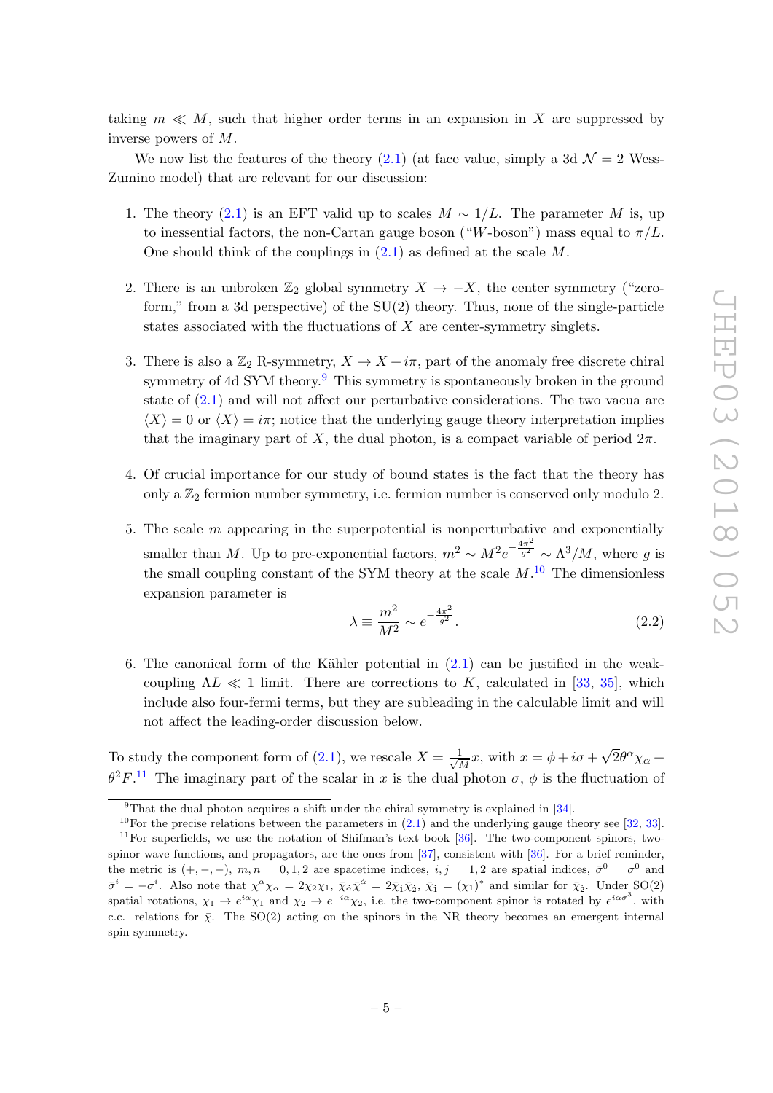taking  $m \ll M$ , such that higher order terms in an expansion in X are suppressed by inverse powers of M.

We now list the features of the theory  $(2.1)$  (at face value, simply a 3d  $\mathcal{N}=2$  Wess-Zumino model) that are relevant for our discussion:

- 1. The theory [\(2.1\)](#page-5-4) is an EFT valid up to scales  $M \sim 1/L$ . The parameter M is, up to inessential factors, the non-Cartan gauge boson ("W-boson") mass equal to  $\pi/L$ . One should think of the couplings in  $(2.1)$  as defined at the scale M.
- 2. There is an unbroken  $\mathbb{Z}_2$  global symmetry  $X \to -X$ , the center symmetry ("zeroform," from a 3d perspective) of the SU(2) theory. Thus, none of the single-particle states associated with the fluctuations of  $X$  are center-symmetry singlets.
- 3. There is also a  $\mathbb{Z}_2$  R-symmetry,  $X \to X + i\pi$ , part of the anomaly free discrete chiral symmetry of 4d SYM theory.<sup>[9](#page-6-0)</sup> This symmetry is spontaneously broken in the ground state of [\(2.1\)](#page-5-4) and will not affect our perturbative considerations. The two vacua are  $\langle X \rangle = 0$  or  $\langle X \rangle = i\pi$ ; notice that the underlying gauge theory interpretation implies that the imaginary part of X, the dual photon, is a compact variable of period  $2\pi$ .
- 4. Of crucial importance for our study of bound states is the fact that the theory has only a  $\mathbb{Z}_2$  fermion number symmetry, i.e. fermion number is conserved only modulo 2.
- 5. The scale m appearing in the superpotential is nonperturbative and exponentially smaller than M. Up to pre-exponential factors,  $m^2 \sim M^2 e^{-\frac{4\pi^2}{g^2}}$  $\frac{a^2}{g^2} \sim \Lambda^3/M$ , where g is the small coupling constant of the SYM theory at the scale  $M$ .<sup>[10](#page-6-1)</sup> The dimensionless expansion parameter is

<span id="page-6-3"></span>
$$
\lambda \equiv \frac{m^2}{M^2} \sim e^{-\frac{4\pi^2}{g^2}}.
$$
\n(2.2)

6. The canonical form of the Kähler potential in  $(2.1)$  can be justified in the weakcoupling  $\Lambda L \ll 1$  limit. There are corrections to K, calculated in [\[33,](#page-28-7) [35\]](#page-28-8), which include also four-fermi terms, but they are subleading in the calculable limit and will not affect the leading-order discussion below.

To study the component form of  $(2.1)$ , we rescale  $X = \frac{1}{\sqrt{2}}$  $\frac{1}{\overline{M}}x$ , with  $x = \phi + i\sigma +$ √  $\overline{2}\theta^{\alpha}\chi_{\alpha} +$  $\theta^2 F$ .<sup>[11](#page-6-2)</sup> The imaginary part of the scalar in x is the dual photon  $\sigma$ ,  $\phi$  is the fluctuation of

<span id="page-6-1"></span><span id="page-6-0"></span> $9^9$ That the dual photon acquires a shift under the chiral symmetry is explained in [\[34\]](#page-28-9).

<span id="page-6-2"></span><sup>&</sup>lt;sup>10</sup>For the precise relations between the parameters in  $(2.1)$  and the underlying gauge theory see [\[32,](#page-28-6) [33\]](#page-28-7).  $11$  For superfields, we use the notation of Shifman's text book [\[36\]](#page-28-10). The two-component spinors, twospinor wave functions, and propagators, are the ones from [\[37\]](#page-28-11), consistent with [\[36\]](#page-28-10). For a brief reminder, the metric is  $(+,-,-)$ ,  $m,n = 0,1,2$  are spacetime indices,  $i, j = 1,2$  are spatial indices,  $\bar{\sigma}^0 = \sigma^0$  and  $\bar{\sigma}^i = -\sigma^i$ . Also note that  $\chi^{\alpha}\chi_{\alpha} = 2\chi_2\chi_1$ ,  $\bar{\chi}_{\dot{\alpha}}\bar{\chi}^{\dot{\alpha}} = 2\bar{\chi}_1\bar{\chi}_2$ ,  $\bar{\chi}_1 = (\chi_1)^*$  and similar for  $\bar{\chi}_2$ . Under  $SO(2)$ spatial rotations,  $\chi_1 \to e^{i\alpha} \chi_1$  and  $\chi_2 \to e^{-i\alpha} \chi_2$ , i.e. the two-component spinor is rotated by  $e^{i\alpha\sigma^3}$ , with c.c. relations for  $\bar{y}$ . The SO(2) acting on the spinors in the NR theory becomes an emergent internal spin symmetry.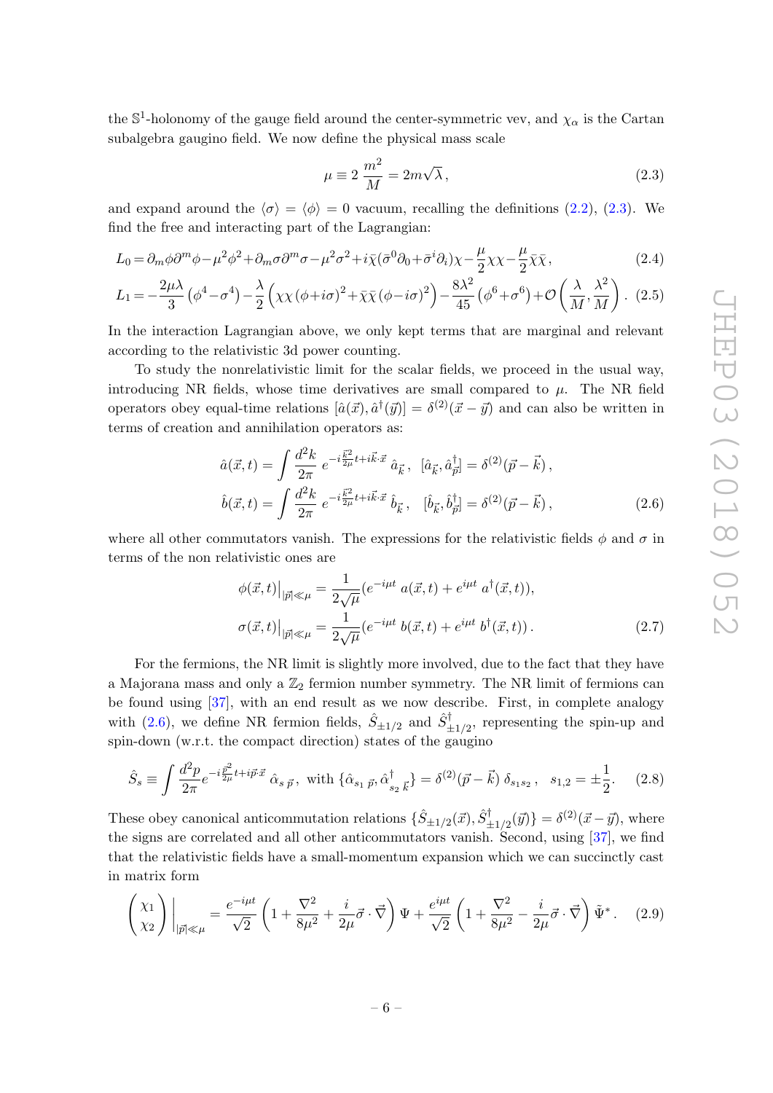the  $\mathbb{S}^1$ -holonomy of the gauge field around the center-symmetric vev, and  $\chi_{\alpha}$  is the Cartan subalgebra gaugino field. We now define the physical mass scale

<span id="page-7-6"></span><span id="page-7-5"></span><span id="page-7-0"></span>
$$
\mu \equiv 2 \frac{m^2}{M} = 2m\sqrt{\lambda},\qquad(2.3)
$$

and expand around the  $\langle \sigma \rangle = \langle \phi \rangle = 0$  vacuum, recalling the definitions [\(2.2\)](#page-6-3), [\(2.3\)](#page-7-0). We find the free and interacting part of the Lagrangian:

$$
L_0 = \partial_m \phi \partial^m \phi - \mu^2 \phi^2 + \partial_m \sigma \partial^m \sigma - \mu^2 \sigma^2 + i \bar{\chi} (\bar{\sigma}^0 \partial_0 + \bar{\sigma}^i \partial_i) \chi - \frac{\mu}{2} \chi \chi - \frac{\mu}{2} \bar{\chi} \bar{\chi},
$$
(2.4)

$$
L_1 = -\frac{2\mu\lambda}{3} \left(\phi^4 - \sigma^4\right) - \frac{\lambda}{2} \left(\chi\chi\left(\phi + i\sigma\right)^2 + \bar{\chi}\bar{\chi}\left(\phi - i\sigma\right)^2\right) - \frac{8\lambda^2}{45} \left(\phi^6 + \sigma^6\right) + \mathcal{O}\left(\frac{\lambda}{M}, \frac{\lambda^2}{M}\right). \tag{2.5}
$$

In the interaction Lagrangian above, we only kept terms that are marginal and relevant according to the relativistic 3d power counting.

To study the nonrelativistic limit for the scalar fields, we proceed in the usual way, introducing NR fields, whose time derivatives are small compared to  $\mu$ . The NR field operators obey equal-time relations  $[\hat{a}(\vec{x}), \hat{a}^\dagger(\vec{y})] = \delta^{(2)}(\vec{x} - \vec{y})$  and can also be written in terms of creation and annihilation operators as:

$$
\hat{a}(\vec{x},t) = \int \frac{d^2k}{2\pi} e^{-i\frac{\vec{k}^2}{2\mu}t + i\vec{k}\cdot\vec{x}} \hat{a}_{\vec{k}}, \quad [\hat{a}_{\vec{k}}, \hat{a}_{\vec{p}}^{\dagger}] = \delta^{(2)}(\vec{p} - \vec{k}),
$$
  

$$
\hat{b}(\vec{x},t) = \int \frac{d^2k}{2\pi} e^{-i\frac{\vec{k}^2}{2\mu}t + i\vec{k}\cdot\vec{x}} \hat{b}_{\vec{k}}, \quad [\hat{b}_{\vec{k}}, \hat{b}_{\vec{p}}^{\dagger}] = \delta^{(2)}(\vec{p} - \vec{k}),
$$
\n(2.6)

where all other commutators vanish. The expressions for the relativistic fields  $\phi$  and  $\sigma$  in terms of the non relativistic ones are

<span id="page-7-3"></span><span id="page-7-1"></span>
$$
\begin{aligned}\n\phi(\vec{x},t)|_{|\vec{p}| \ll \mu} &= \frac{1}{2\sqrt{\mu}} (e^{-i\mu t} a(\vec{x},t) + e^{i\mu t} a^{\dagger}(\vec{x},t)), \\
\sigma(\vec{x},t)|_{|\vec{p}| \ll \mu} &= \frac{1}{2\sqrt{\mu}} (e^{-i\mu t} b(\vec{x},t) + e^{i\mu t} b^{\dagger}(\vec{x},t)).\n\end{aligned} \tag{2.7}
$$

For the fermions, the NR limit is slightly more involved, due to the fact that they have a Majorana mass and only a  $\mathbb{Z}_2$  fermion number symmetry. The NR limit of fermions can be found using [\[37\]](#page-28-11), with an end result as we now describe. First, in complete analogy with [\(2.6\)](#page-7-1), we define NR fermion fields,  $\hat{S}_{\pm 1/2}$  and  $\hat{S}_{\pm 1/2}^{\dagger}$ , representing the spin-up and spin-down (w.r.t. the compact direction) states of the gaugino

<span id="page-7-2"></span>
$$
\hat{S}_s \equiv \int \frac{d^2 p}{2\pi} e^{-i\frac{\vec{p}^2}{2\mu}t + i\vec{p}\cdot\vec{x}} \hat{\alpha}_{s\ \vec{p}}, \text{ with } \{\hat{\alpha}_{s_1\ \vec{p}}, \hat{\alpha}_{s_2\ \vec{k}}^{\dagger}\} = \delta^{(2)}(\vec{p} - \vec{k}) \,\delta_{s_1 s_2}, \quad s_{1,2} = \pm \frac{1}{2}.
$$
 (2.8)

These obey canonical anticommutation relations  $\{\hat{S}_{\pm 1/2}(\vec{x}), \hat{S}_{\pm 1/2}^{\dagger}(\vec{y})\} = \delta^{(2)}(\vec{x} - \vec{y})$ , where the signs are correlated and all other anticommutators vanish. Second, using [\[37\]](#page-28-11), we find that the relativistic fields have a small-momentum expansion which we can succinctly cast in matrix form

<span id="page-7-4"></span>
$$
\left(\begin{matrix} \chi_1\\ \chi_2 \end{matrix}\right)\Big|_{|\vec{p}|\ll\mu} = \frac{e^{-i\mu t}}{\sqrt{2}} \left(1 + \frac{\nabla^2}{8\mu^2} + \frac{i}{2\mu}\vec{\sigma} \cdot \vec{\nabla}\right) \Psi + \frac{e^{i\mu t}}{\sqrt{2}} \left(1 + \frac{\nabla^2}{8\mu^2} - \frac{i}{2\mu}\vec{\sigma} \cdot \vec{\nabla}\right) \tilde{\Psi}^* \,. \tag{2.9}
$$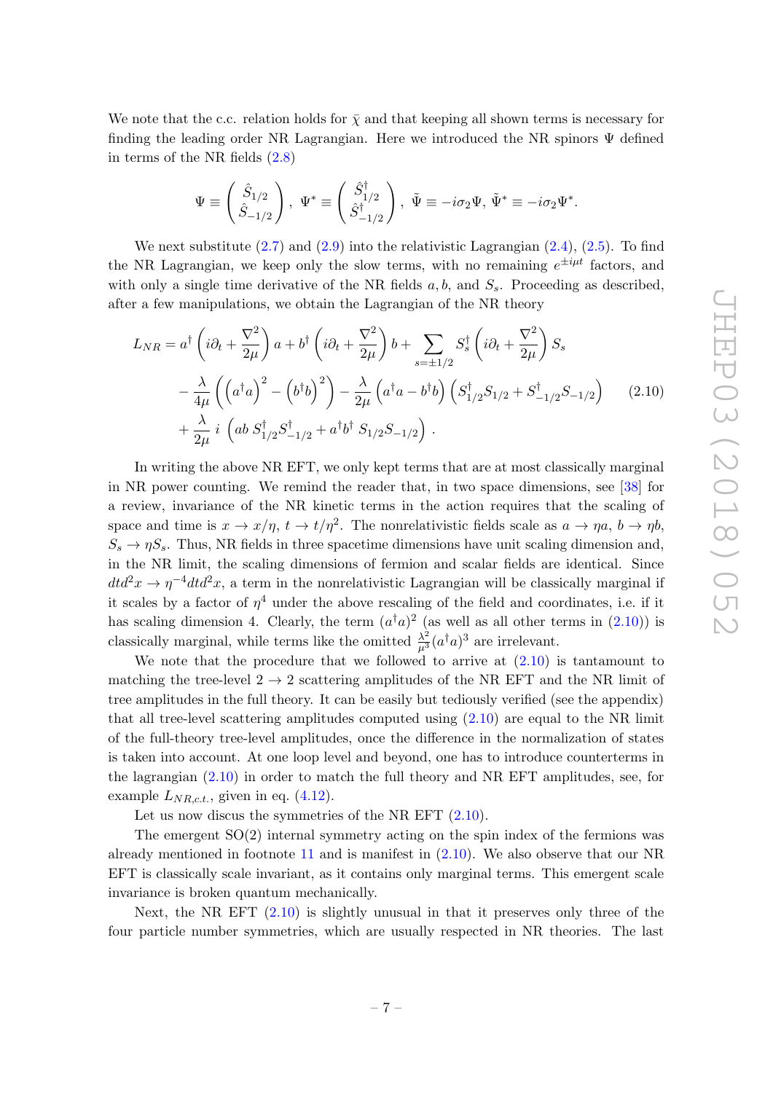We note that the c.c. relation holds for  $\bar{\chi}$  and that keeping all shown terms is necessary for finding the leading order NR Lagrangian. Here we introduced the NR spinors  $\Psi$  defined in terms of the NR fields [\(2.8\)](#page-7-2)

<span id="page-8-0"></span>
$$
\Psi \equiv \begin{pmatrix} \hat{S}_{1/2} \\ \hat{S}_{-1/2} \end{pmatrix}, \ \Psi^* \equiv \begin{pmatrix} \hat{S}_{1/2}^{\dagger} \\ \hat{S}_{-1/2}^{\dagger} \end{pmatrix}, \ \tilde{\Psi} \equiv -i\sigma_2 \Psi, \ \tilde{\Psi}^* \equiv -i\sigma_2 \Psi^*.
$$

We next substitute  $(2.7)$  and  $(2.9)$  into the relativistic Lagrangian  $(2.4)$ ,  $(2.5)$ . To find the NR Lagrangian, we keep only the slow terms, with no remaining  $e^{\pm i\mu t}$  factors, and with only a single time derivative of the NR fields  $a, b$ , and  $S_s$ . Proceeding as described, after a few manipulations, we obtain the Lagrangian of the NR theory

$$
L_{NR} = a^{\dagger} \left( i \partial_{t} + \frac{\nabla^{2}}{2\mu} \right) a + b^{\dagger} \left( i \partial_{t} + \frac{\nabla^{2}}{2\mu} \right) b + \sum_{s=\pm 1/2} S_{s}^{\dagger} \left( i \partial_{t} + \frac{\nabla^{2}}{2\mu} \right) S_{s}
$$
  

$$
- \frac{\lambda}{4\mu} \left( \left( a^{\dagger} a \right)^{2} - \left( b^{\dagger} b \right)^{2} \right) - \frac{\lambda}{2\mu} \left( a^{\dagger} a - b^{\dagger} b \right) \left( S_{1/2}^{\dagger} S_{1/2} + S_{-1/2}^{\dagger} S_{-1/2} \right) \qquad (2.10)
$$
  

$$
+ \frac{\lambda}{2\mu} i \left( a b S_{1/2}^{\dagger} S_{-1/2}^{\dagger} + a^{\dagger} b^{\dagger} S_{1/2} S_{-1/2} \right) .
$$

In writing the above NR EFT, we only kept terms that are at most classically marginal in NR power counting. We remind the reader that, in two space dimensions, see [\[38\]](#page-28-12) for a review, invariance of the NR kinetic terms in the action requires that the scaling of space and time is  $x \to x/\eta$ ,  $t \to t/\eta^2$ . The nonrelativistic fields scale as  $a \to \eta a$ ,  $b \to \eta b$ ,  $S_s \to \eta S_s$ . Thus, NR fields in three spacetime dimensions have unit scaling dimension and, in the NR limit, the scaling dimensions of fermion and scalar fields are identical. Since  $dtd^2x \rightarrow \eta^{-4}dtd^2x$ , a term in the nonrelativistic Lagrangian will be classically marginal if it scales by a factor of  $\eta^4$  under the above rescaling of the field and coordinates, i.e. if it has scaling dimension 4. Clearly, the term  $(a^{\dagger}a)^2$  (as well as all other terms in [\(2.10\)](#page-8-0)) is classically marginal, while terms like the omitted  $\frac{\lambda^2}{\mu^3} (a^{\dagger} a)^3$  are irrelevant.

We note that the procedure that we followed to arrive at  $(2.10)$  is tantamount to matching the tree-level  $2 \rightarrow 2$  scattering amplitudes of the NR EFT and the NR limit of tree amplitudes in the full theory. It can be easily but tediously verified (see the appendix) that all tree-level scattering amplitudes computed using  $(2.10)$  are equal to the NR limit of the full-theory tree-level amplitudes, once the difference in the normalization of states is taken into account. At one loop level and beyond, one has to introduce counterterms in the lagrangian [\(2.10\)](#page-8-0) in order to match the full theory and NR EFT amplitudes, see, for example  $L_{NR, c.t.}$ , given in eq.  $(4.12)$ .

Let us now discus the symmetries of the NR EFT  $(2.10)$ .

The emergent  $SO(2)$  internal symmetry acting on the spin index of the fermions was already mentioned in footnote [11](#page-6-2) and is manifest in [\(2.10\)](#page-8-0). We also observe that our NR EFT is classically scale invariant, as it contains only marginal terms. This emergent scale invariance is broken quantum mechanically.

Next, the NR EFT [\(2.10\)](#page-8-0) is slightly unusual in that it preserves only three of the four particle number symmetries, which are usually respected in NR theories. The last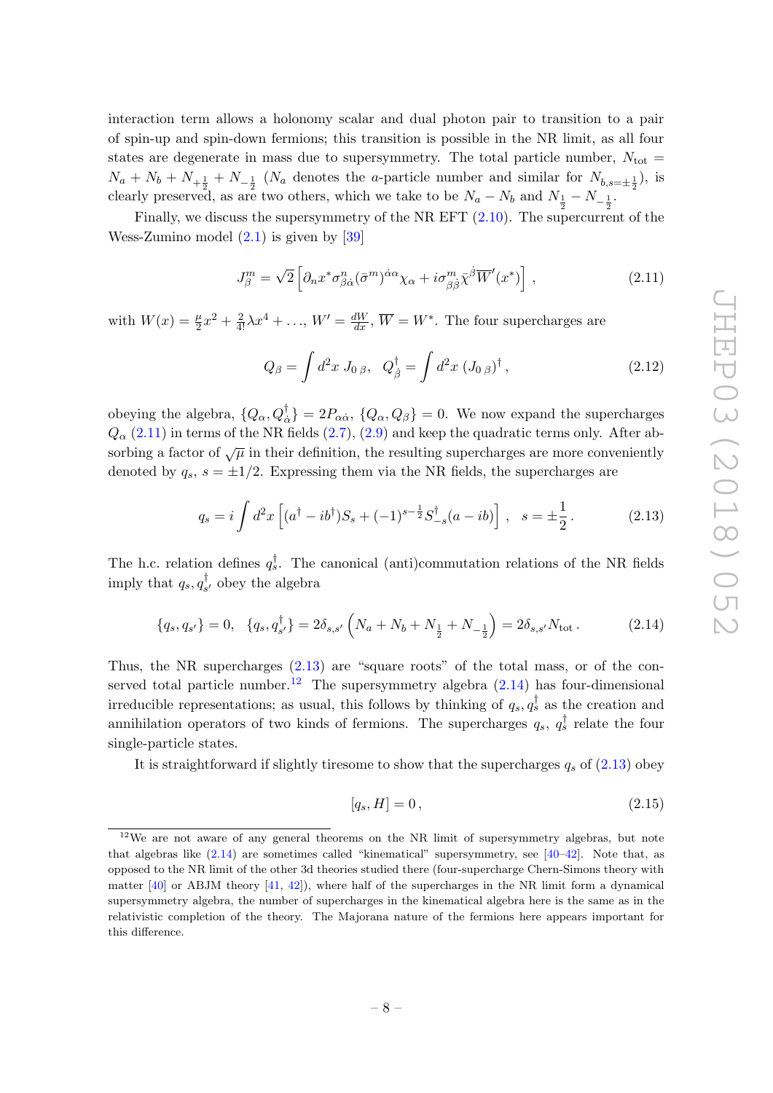interaction term allows a holonomy scalar and dual photon pair to transition to a pair of spin-up and spin-down fermions; this transition is possible in the NR limit, as all four states are degenerate in mass due to supersymmetry. The total particle number,  $N_{\text{tot}} =$  $N_a + N_b + N_{+\frac{1}{2}} + N_{-\frac{1}{2}}$  ( $N_a$  denotes the *a*-particle number and similar for  $N_{b,s=\pm \frac{1}{2}}$ ), is clearly preserved, as are two others, which we take to be  $N_a - N_b$  and  $N_{\frac{1}{2}} - N_{-\frac{1}{2}}$ .

Finally, we discuss the supersymmetry of the NR EFT  $(2.10)$ . The supercurrent of the Wess-Zumino model  $(2.1)$  is given by [\[39\]](#page-28-13)

<span id="page-9-0"></span>
$$
J_{\beta}^{m} = \sqrt{2} \left[ \partial_{n} x^{*} \sigma_{\beta \dot{\alpha}}^{n} (\bar{\sigma}^{m})^{\dot{\alpha} \alpha} \chi_{\alpha} + i \sigma_{\beta \dot{\beta}}^{m} \bar{\chi}^{\dot{\beta}} \overline{W}'(x^{*}) \right], \qquad (2.11)
$$

with  $W(x) = \frac{\mu}{2}x^2 + \frac{2}{4!}\lambda x^4 + \ldots$ ,  $W' = \frac{dW}{dx}$ ,  $\overline{W} = W^*$ . The four supercharges are

$$
Q_{\beta} = \int d^2x \, J_{0 \, \beta}, \, Q_{\dot{\beta}}^{\dagger} = \int d^2x \, (J_{0 \, \beta})^{\dagger}, \, (2.12)
$$

obeying the algebra,  $\{Q_{\alpha}, Q_{\dot{\alpha}}^{\dagger}\}=2P_{\alpha\dot{\alpha}}, \{Q_{\alpha}, Q_{\beta}\}=0$ . We now expand the supercharges  $Q_{\alpha}$  [\(2.11\)](#page-9-0) in terms of the NR fields [\(2.7\)](#page-7-3), [\(2.9\)](#page-7-4) and keep the quadratic terms only. After absorbing a factor of  $\sqrt{\mu}$  in their definition, the resulting supercharges are more conveniently denoted by  $q_s$ ,  $s = \pm 1/2$ . Expressing them via the NR fields, the supercharges are

<span id="page-9-1"></span>
$$
q_s = i \int d^2x \left[ (a^\dagger - ib^\dagger) S_s + (-1)^{s-\frac{1}{2}} S_{-s}^\dagger (a - ib) \right] , \quad s = \pm \frac{1}{2} . \tag{2.13}
$$

The h.c. relation defines  $q_s^{\dagger}$ . The canonical (anti)commutation relations of the NR fields imply that  $q_s, q_s^{\dagger}$  $s'$  obey the algebra

$$
\{q_s, q_{s'}\} = 0, \quad \{q_s, q_{s'}^{\dagger}\} = 2\delta_{s,s'}\left(N_a + N_b + N_{\frac{1}{2}} + N_{-\frac{1}{2}}\right) = 2\delta_{s,s'}N_{\text{tot}}\,. \tag{2.14}
$$

Thus, the NR supercharges [\(2.13\)](#page-9-1) are "square roots" of the total mass, or of the con-served total particle number.<sup>[12](#page-9-2)</sup> The supersymmetry algebra  $(2.14)$  has four-dimensional irreducible representations; as usual, this follows by thinking of  $q_s, q_s^{\dagger}$  as the creation and annihilation operators of two kinds of fermions. The supercharges  $q_s, q_s^{\dagger}$  relate the four single-particle states.

It is straightforward if slightly tiresome to show that the supercharges  $q_s$  of [\(2.13\)](#page-9-1) obey

<span id="page-9-3"></span>
$$
[q_s, H] = 0, \t(2.15)
$$

<span id="page-9-2"></span> $12$ We are not aware of any general theorems on the NR limit of supersymmetry algebras, but note that algebras like [\(2.14\)](#page-9-3) are sometimes called "kinematical" supersymmetry, see [\[40](#page-28-14)[–42\]](#page-28-15). Note that, as opposed to the NR limit of the other 3d theories studied there (four-supercharge Chern-Simons theory with matter  $[40]$  or ABJM theory  $[41, 42]$  $[41, 42]$  $[41, 42]$ , where half of the supercharges in the NR limit form a dynamical supersymmetry algebra, the number of supercharges in the kinematical algebra here is the same as in the relativistic completion of the theory. The Majorana nature of the fermions here appears important for this difference.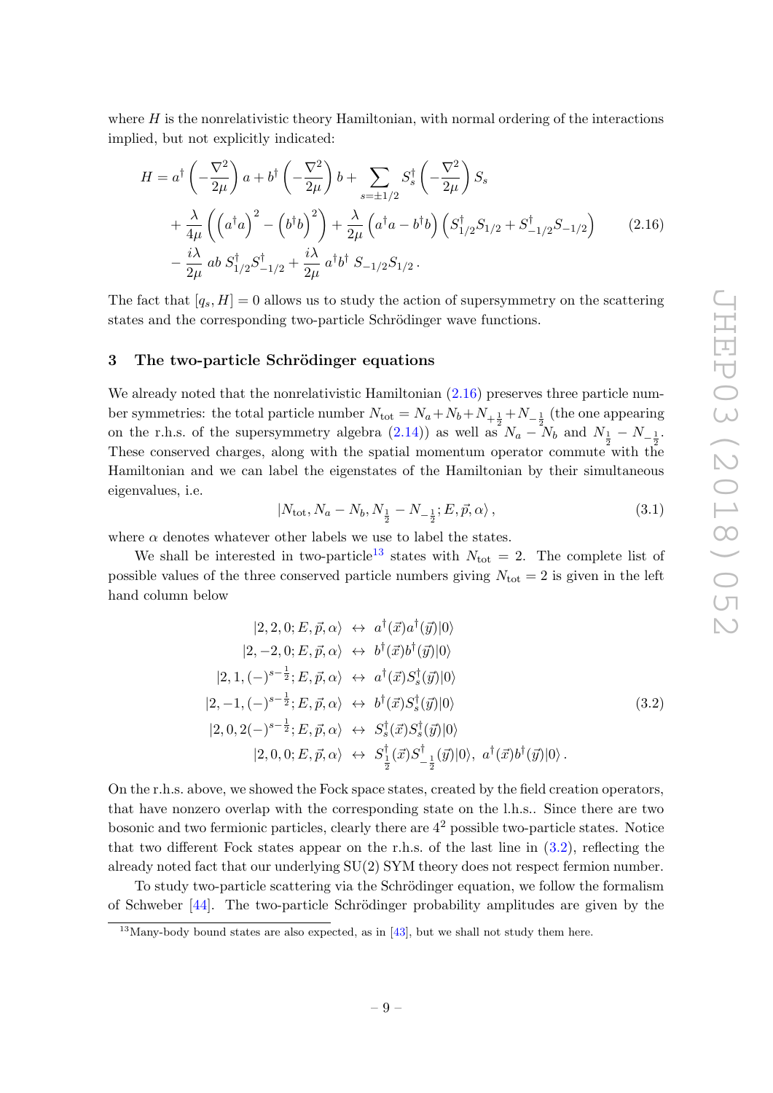where  $H$  is the nonrelativistic theory Hamiltonian, with normal ordering of the interactions implied, but not explicitly indicated:

$$
H = a^{\dagger} \left( -\frac{\nabla^2}{2\mu} \right) a + b^{\dagger} \left( -\frac{\nabla^2}{2\mu} \right) b + \sum_{s=\pm 1/2} S_s^{\dagger} \left( -\frac{\nabla^2}{2\mu} \right) S_s
$$
  
+  $\frac{\lambda}{4\mu} \left( \left( a^{\dagger} a \right)^2 - \left( b^{\dagger} b \right)^2 \right) + \frac{\lambda}{2\mu} \left( a^{\dagger} a - b^{\dagger} b \right) \left( S_{1/2}^{\dagger} S_{1/2} + S_{-1/2}^{\dagger} S_{-1/2} \right)$  (2.16)  
-  $\frac{i\lambda}{2\mu} ab S_{1/2}^{\dagger} S_{-1/2}^{\dagger} + \frac{i\lambda}{2\mu} a^{\dagger} b^{\dagger} S_{-1/2} S_{1/2}.$ 

The fact that  $[q_s, H] = 0$  allows us to study the action of supersymmetry on the scattering states and the corresponding two-particle Schrödinger wave functions.

#### <span id="page-10-0"></span>3 The two-particle Schrödinger equations

We already noted that the nonrelativistic Hamiltonian  $(2.16)$  preserves three particle number symmetries: the total particle number  $N_{\text{tot}} = N_a + N_b + N_{+\frac{1}{2}} + N_{-\frac{1}{2}}$  (the one appearing on the r.h.s. of the supersymmetry algebra [\(2.14\)](#page-9-3)) as well as  $N_a - N_b$  and  $N_{\frac{1}{2}} - N_{-\frac{1}{2}}$ . These conserved charges, along with the spatial momentum operator commute with the Hamiltonian and we can label the eigenstates of the Hamiltonian by their simultaneous eigenvalues, i.e.

<span id="page-10-3"></span><span id="page-10-1"></span>
$$
|N_{\text{tot}}, N_a - N_b, N_{\frac{1}{2}} - N_{-\frac{1}{2}}; E, \vec{p}, \alpha\rangle, \qquad (3.1)
$$

where  $\alpha$  denotes whatever other labels we use to label the states.

We shall be interested in two-particle<sup>[13](#page-10-2)</sup> states with  $N_{\text{tot}} = 2$ . The complete list of possible values of the three conserved particle numbers giving  $N_{\text{tot}} = 2$  is given in the left hand column below

$$
|2, 2, 0; E, \vec{p}, \alpha\rangle \leftrightarrow a^{\dagger}(\vec{x})a^{\dagger}(\vec{y})|0\rangle
$$
  
\n
$$
|2, -2, 0; E, \vec{p}, \alpha\rangle \leftrightarrow b^{\dagger}(\vec{x})b^{\dagger}(\vec{y})|0\rangle
$$
  
\n
$$
|2, 1, (-)^{s-\frac{1}{2}}; E, \vec{p}, \alpha\rangle \leftrightarrow a^{\dagger}(\vec{x})S^{\dagger}_{s}(\vec{y})|0\rangle
$$
  
\n
$$
|2, -1, (-)^{s-\frac{1}{2}}; E, \vec{p}, \alpha\rangle \leftrightarrow b^{\dagger}(\vec{x})S^{\dagger}_{s}(\vec{y})|0\rangle
$$
  
\n
$$
|2, 0, 2(-)^{s-\frac{1}{2}}; E, \vec{p}, \alpha\rangle \leftrightarrow S^{\dagger}_{s}(\vec{x})S^{\dagger}_{s}(\vec{y})|0\rangle, a^{\dagger}(\vec{x})b^{\dagger}(\vec{y})|0\rangle.
$$
  
\n
$$
|2, 0, 0; E, \vec{p}, \alpha\rangle \leftrightarrow S^{\dagger}_{\frac{1}{2}}(\vec{x})S^{\dagger}_{-\frac{1}{2}}(\vec{y})|0\rangle, a^{\dagger}(\vec{x})b^{\dagger}(\vec{y})|0\rangle.
$$
 (3.2)

On the r.h.s. above, we showed the Fock space states, created by the field creation operators, that have nonzero overlap with the corresponding state on the l.h.s.. Since there are two bosonic and two fermionic particles, clearly there are  $4<sup>2</sup>$  possible two-particle states. Notice that two different Fock states appear on the r.h.s. of the last line in  $(3.2)$ , reflecting the already noted fact that our underlying SU(2) SYM theory does not respect fermion number.

To study two-particle scattering via the Schrödinger equation, we follow the formalism of Schweber  $[44]$ . The two-particle Schrödinger probability amplitudes are given by the

<span id="page-10-2"></span> $13$ Many-body bound states are also expected, as in [\[43\]](#page-29-1), but we shall not study them here.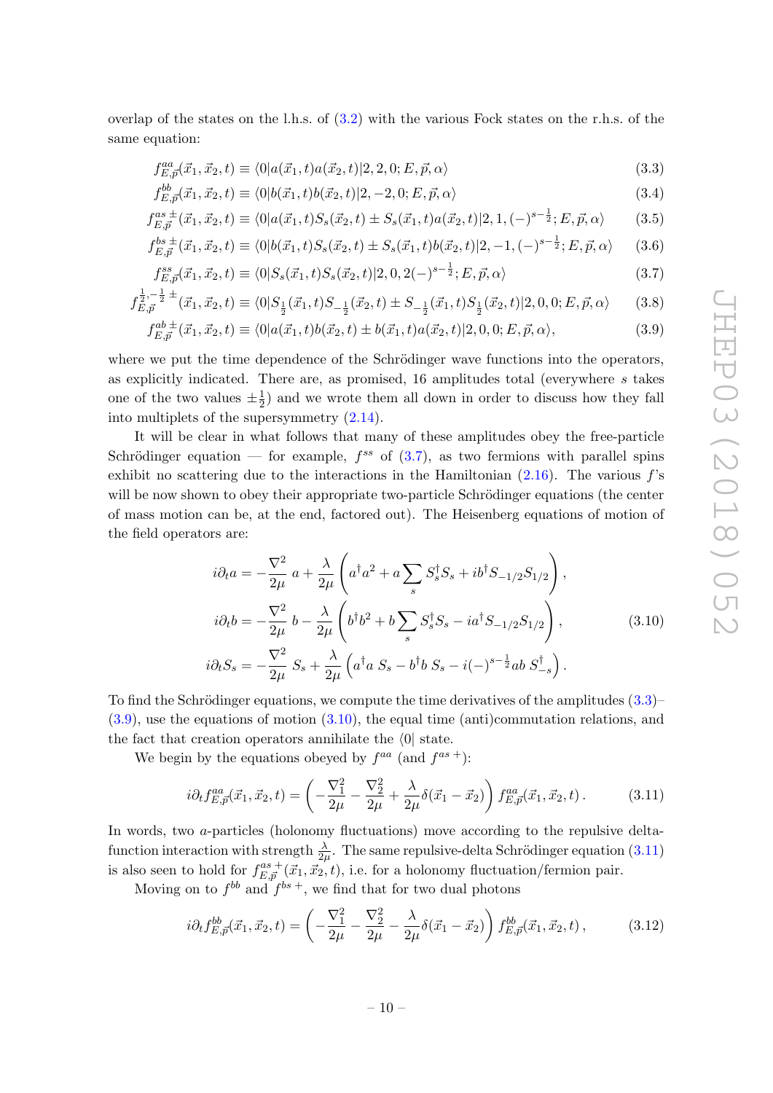overlap of the states on the l.h.s. of [\(3.2\)](#page-10-3) with the various Fock states on the r.h.s. of the same equation:

<span id="page-11-1"></span>
$$
f_{E,\vec{p}}^{aa}(\vec{x}_1, \vec{x}_2, t) \equiv \langle 0 | a(\vec{x}_1, t) a(\vec{x}_2, t) | 2, 2, 0; E, \vec{p}, \alpha \rangle \tag{3.3}
$$

<span id="page-11-0"></span>
$$
f_{E,\vec{p}}^{bb}(\vec{x}_1,\vec{x}_2,t) \equiv \langle 0|b(\vec{x}_1,t)b(\vec{x}_2,t)|2,-2,0;E,\vec{p},\alpha\rangle \tag{3.4}
$$

$$
f_{E,\vec{p}}^{as\ \pm}(\vec{x}_1,\vec{x}_2,t) \equiv \langle 0|a(\vec{x}_1,t)S_s(\vec{x}_2,t) \pm S_s(\vec{x}_1,t)a(\vec{x}_2,t)|2,1,(-)^{s-\frac{1}{2}};E,\vec{p},\alpha \rangle \tag{3.5}
$$

$$
f_{E,\vec{p}}^{bs\,\pm}(\vec{x}_1,\vec{x}_2,t) \equiv \langle 0|b(\vec{x}_1,t)S_s(\vec{x}_2,t) \pm S_s(\vec{x}_1,t)b(\vec{x}_2,t)|2,-1,(-)^{s-\frac{1}{2}};E,\vec{p},\alpha\rangle \tag{3.6}
$$

$$
f_{E,\vec{p}}^{ss}(\vec{x}_1, \vec{x}_2, t) \equiv \langle 0 | S_s(\vec{x}_1, t) S_s(\vec{x}_2, t) | 2, 0, 2(-)^{s - \frac{1}{2}}; E, \vec{p}, \alpha \rangle \tag{3.7}
$$

$$
f_{E,\vec{p}}^{\frac{1}{2},-\frac{1}{2}\pm}(\vec{x}_1,\vec{x}_2,t) \equiv \langle 0|S_{\frac{1}{2}}(\vec{x}_1,t)S_{-\frac{1}{2}}(\vec{x}_2,t) \pm S_{-\frac{1}{2}}(\vec{x}_1,t)S_{\frac{1}{2}}(\vec{x}_2,t)|2,0,0;E,\vec{p},\alpha\rangle \tag{3.8}
$$

<span id="page-11-2"></span>
$$
f_{E,\vec{p}}^{ab \pm}(\vec{x}_1, \vec{x}_2, t) \equiv \langle 0 | a(\vec{x}_1, t) b(\vec{x}_2, t) \pm b(\vec{x}_1, t) a(\vec{x}_2, t) | 2, 0, 0; E, \vec{p}, \alpha \rangle, \tag{3.9}
$$

where we put the time dependence of the Schrödinger wave functions into the operators, as explicitly indicated. There are, as promised,  $16$  amplitudes total (everywhere s takes one of the two values  $\pm \frac{1}{2}$  $\frac{1}{2}$ ) and we wrote them all down in order to discuss how they fall into multiplets of the supersymmetry [\(2.14\)](#page-9-3).

It will be clear in what follows that many of these amplitudes obey the free-particle Schrödinger equation — for example,  $f^{ss}$  of  $(3.7)$ , as two fermions with parallel spins exhibit no scattering due to the interactions in the Hamiltonian  $(2.16)$ . The various  $f$ 's will be now shown to obey their appropriate two-particle Schrödinger equations (the center of mass motion can be, at the end, factored out). The Heisenberg equations of motion of the field operators are:

<span id="page-11-3"></span>
$$
i\partial_t a = -\frac{\nabla^2}{2\mu} a + \frac{\lambda}{2\mu} \left( a^\dagger a^2 + a \sum_s S_s^\dagger S_s + ib^\dagger S_{-1/2} S_{1/2} \right),
$$
  
\n
$$
i\partial_t b = -\frac{\nabla^2}{2\mu} b - \frac{\lambda}{2\mu} \left( b^\dagger b^2 + b \sum_s S_s^\dagger S_s - ia^\dagger S_{-1/2} S_{1/2} \right),
$$
  
\n
$$
i\partial_t S_s = -\frac{\nabla^2}{2\mu} S_s + \frac{\lambda}{2\mu} \left( a^\dagger a S_s - b^\dagger b S_s - i(-)^{s-\frac{1}{2}} ab S_{-s}^\dagger \right).
$$
\n(3.10)

To find the Schrödinger equations, we compute the time derivatives of the amplitudes  $(3.3)$ – [\(3.9\)](#page-11-2), use the equations of motion [\(3.10\)](#page-11-3), the equal time (anti)commutation relations, and the fact that creation operators annihilate the  $\langle 0|$  state.

We begin by the equations obeyed by  $f^{aa}$  (and  $f^{as +}$ ):

<span id="page-11-4"></span>
$$
i\partial_t f^{aa}_{E,\vec{p}}(\vec{x}_1, \vec{x}_2, t) = \left(-\frac{\nabla_1^2}{2\mu} - \frac{\nabla_2^2}{2\mu} + \frac{\lambda}{2\mu} \delta(\vec{x}_1 - \vec{x}_2)\right) f^{aa}_{E,\vec{p}}(\vec{x}_1, \vec{x}_2, t).
$$
 (3.11)

In words, two a-particles (holonomy fluctuations) move according to the repulsive deltafunction interaction with strength  $\frac{\lambda}{2\mu}$ . The same repulsive-delta Schrödinger equation [\(3.11\)](#page-11-4) is also seen to hold for  $f_{E,\vec{p}}^{as +}(\vec{x}_1, \vec{x}_2, t)$ , i.e. for a holonomy fluctuation/fermion pair.

Moving on to  $f^{bb}$  and  $f^{bs +}$ , we find that for two dual photons

<span id="page-11-5"></span>
$$
i\partial_t f_{E,\vec{p}}^{bb}(\vec{x}_1, \vec{x}_2, t) = \left(-\frac{\nabla_1^2}{2\mu} - \frac{\nabla_2^2}{2\mu} - \frac{\lambda}{2\mu} \delta(\vec{x}_1 - \vec{x}_2)\right) f_{E,\vec{p}}^{bb}(\vec{x}_1, \vec{x}_2, t) ,\qquad (3.12)
$$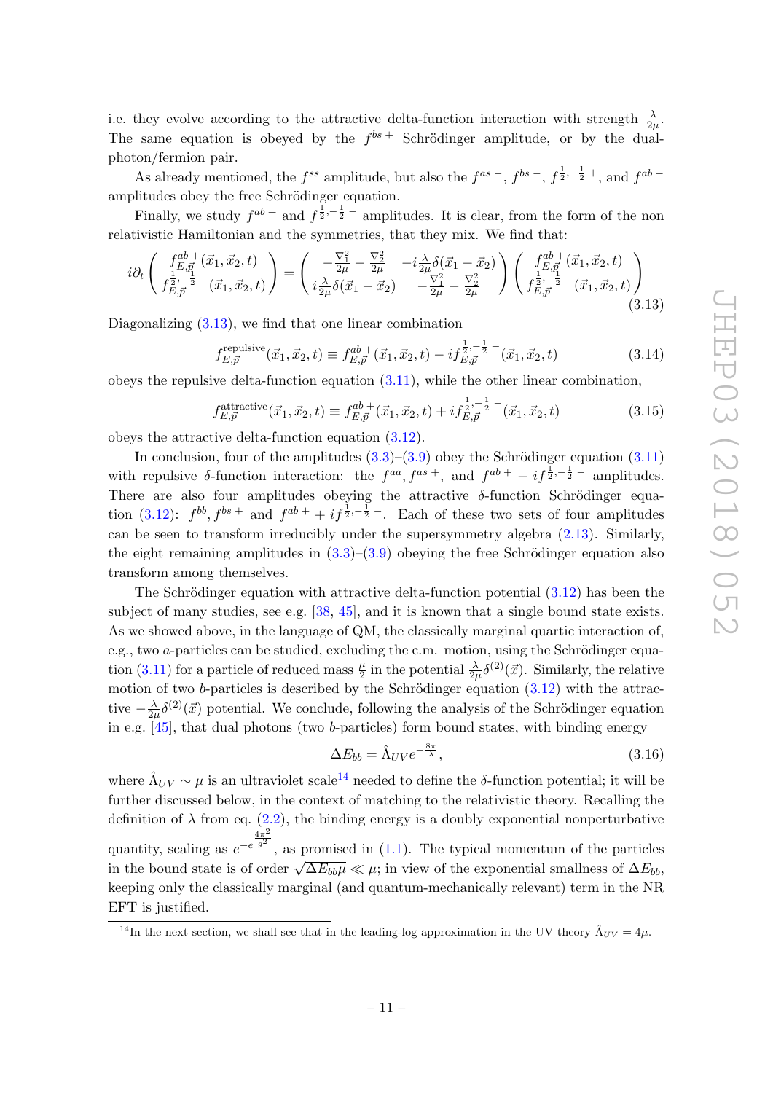i.e. they evolve according to the attractive delta-function interaction with strength  $\frac{\lambda}{2\mu}$ . The same equation is obeyed by the  $f^{bs}$  Schrödinger amplitude, or by the dualphoton/fermion pair.

As already mentioned, the  $f^{ss}$  amplitude, but also the  $f^{as}$  -,  $f^{bs}$  -,  $f^{\frac{1}{2},-\frac{1}{2}+}$ , and  $f^{ab}$ amplitudes obey the free Schrödinger equation.

Finally, we study  $f^{ab}$  + and  $f^{\frac{1}{2},-\frac{1}{2}}$  - amplitudes. It is clear, from the form of the non relativistic Hamiltonian and the symmetries, that they mix. We find that:

<span id="page-12-1"></span>
$$
i\partial_t \begin{pmatrix} f_{E,\vec{p}}^{ab+}(\vec{x}_1, \vec{x}_2, t) \\ f_{E,\vec{p}}^{\frac{1}{2}, -\frac{1}{2}} - (\vec{x}_1, \vec{x}_2, t) \end{pmatrix} = \begin{pmatrix} -\frac{\nabla_1^2}{2\mu} - \frac{\nabla_2^2}{2\mu} & -i\frac{\lambda}{2\mu}\delta(\vec{x}_1 - \vec{x}_2) \\ i\frac{\lambda}{2\mu}\delta(\vec{x}_1 - \vec{x}_2) & -\frac{\nabla_1^2}{2\mu} - \frac{\nabla_2^2}{2\mu} \end{pmatrix} \begin{pmatrix} f_{E,\vec{p}}^{ab+}(\vec{x}_1, \vec{x}_2, t) \\ f_{E,\vec{p}}^{\frac{1}{2}, -\frac{1}{2}} - (\vec{x}_1, \vec{x}_2, t) \end{pmatrix}
$$
(3.13)

Diagonalizing  $(3.13)$ , we find that one linear combination

$$
f_{E,\vec{p}}^{\text{repulsive}}(\vec{x}_1, \vec{x}_2, t) \equiv f_{E,\vec{p}}^{ab +}(\vec{x}_1, \vec{x}_2, t) - i f_{E,\vec{p}}^{\frac{1}{2}, -\frac{1}{2} -}(\vec{x}_1, \vec{x}_2, t)
$$
(3.14)

obeys the repulsive delta-function equation [\(3.11\)](#page-11-4), while the other linear combination,

$$
f_{E,\vec{p}}^{\text{attractive}}(\vec{x}_1, \vec{x}_2, t) \equiv f_{E,\vec{p}}^{ab \; +}(\vec{x}_1, \vec{x}_2, t) + i f_{E,\vec{p}}^{\frac{1}{2}, -\frac{1}{2} -}(\vec{x}_1, \vec{x}_2, t)
$$
(3.15)

obeys the attractive delta-function equation [\(3.12\)](#page-11-5).

In conclusion, four of the amplitudes  $(3.3)$ – $(3.9)$  obey the Schrödinger equation  $(3.11)$ with repulsive  $\delta$ -function interaction: the  $f^{aa}, f^{as +}$ , and  $f^{ab +} - i f^{\frac{1}{2}, -\frac{1}{2} -}$  amplitudes. There are also four amplitudes obeying the attractive  $\delta$ -function Schrödinger equa-tion [\(3.12\)](#page-11-5):  $f^{bb}, f^{bs}$  + and  $f^{ab}$  +  $if^{\frac{1}{2}, -\frac{1}{2} -}$ . Each of these two sets of four amplitudes can be seen to transform irreducibly under the supersymmetry algebra [\(2.13\)](#page-9-1). Similarly, the eight remaining amplitudes in  $(3.3)$ – $(3.9)$  obeying the free Schrödinger equation also transform among themselves.

The Schrödinger equation with attractive delta-function potential  $(3.12)$  has been the subject of many studies, see e.g.  $[38, 45]$  $[38, 45]$  $[38, 45]$ , and it is known that a single bound state exists. As we showed above, in the language of QM, the classically marginal quartic interaction of, e.g., two *a*-particles can be studied, excluding the c.m. motion, using the Schrödinger equa-tion [\(3.11\)](#page-11-4) for a particle of reduced mass  $\frac{\mu}{2}$  in the potential  $\frac{\lambda}{2\mu}\delta^{(2)}(\vec{x})$ . Similarly, the relative motion of two b-particles is described by the Schrödinger equation  $(3.12)$  with the attractive  $-\frac{\lambda}{2}$  $\frac{\lambda}{2\mu}\delta^{(2)}(\vec{x})$  potential. We conclude, following the analysis of the Schrödinger equation in e.g. [\[45\]](#page-29-2), that dual photons (two b-particles) form bound states, with binding energy

<span id="page-12-0"></span>
$$
\Delta E_{bb} = \hat{\Lambda}_{UV} e^{-\frac{8\pi}{\lambda}},\tag{3.16}
$$

where  $\hat{\Lambda}_{UV} \sim \mu$  is an ultraviolet scale<sup>[14](#page-12-2)</sup> needed to define the  $\delta$ -function potential; it will be further discussed below, in the context of matching to the relativistic theory. Recalling the definition of  $\lambda$  from eq. [\(2.2\)](#page-6-3), the binding energy is a doubly exponential nonperturbative quantity, scaling as  $e^{-e^{\frac{4\pi^2}{g^2}}}$ , as promised in [\(1.1\)](#page-2-1). The typical momentum of the particles in the bound state is of order  $\sqrt{\Delta E_{bb}\mu} \ll \mu$ ; in view of the exponential smallness of  $\Delta E_{bb}$ , keeping only the classically marginal (and quantum-mechanically relevant) term in the NR EFT is justified.

<span id="page-12-2"></span><sup>&</sup>lt;sup>14</sup>In the next section, we shall see that in the leading-log approximation in the UV theory  $\hat{\Lambda}_{UV} = 4\mu$ .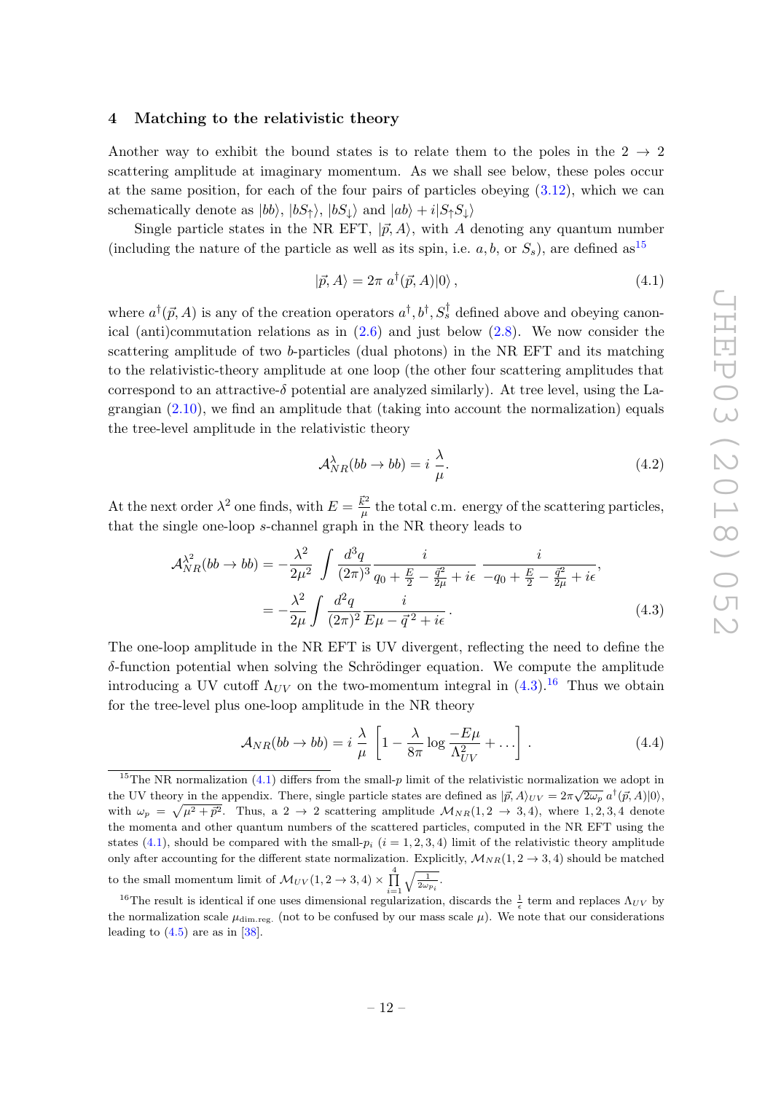#### <span id="page-13-0"></span>4 Matching to the relativistic theory

Another way to exhibit the bound states is to relate them to the poles in the  $2 \rightarrow 2$ scattering amplitude at imaginary momentum. As we shall see below, these poles occur at the same position, for each of the four pairs of particles obeying  $(3.12)$ , which we can schematically denote as  $|bb\rangle$ ,  $|bS_{\uparrow}\rangle$ ,  $|bS_{\downarrow}\rangle$  and  $|ab\rangle + i|S_{\uparrow}S_{\downarrow}\rangle$ 

Single particle states in the NR EFT,  $|\vec{p}, A\rangle$ , with A denoting any quantum number (including the nature of the particle as well as its spin, i.e.  $a, b$ , or  $S_s$ ), are defined as<sup>[15](#page-13-1)</sup>

<span id="page-13-4"></span>
$$
|\vec{p}, A\rangle = 2\pi \, a^{\dagger}(\vec{p}, A)|0\rangle \,, \tag{4.1}
$$

where  $a^{\dagger}(\vec{p}, A)$  is any of the creation operators  $a^{\dagger}, b^{\dagger}, S_s^{\dagger}$  defined above and obeying canonical (anti)commutation relations as in [\(2.6\)](#page-7-1) and just below [\(2.8\)](#page-7-2). We now consider the scattering amplitude of two b-particles (dual photons) in the NR EFT and its matching to the relativistic-theory amplitude at one loop (the other four scattering amplitudes that correspond to an attractive- $\delta$  potential are analyzed similarly). At tree level, using the Lagrangian [\(2.10\)](#page-8-0), we find an amplitude that (taking into account the normalization) equals the tree-level amplitude in the relativistic theory

<span id="page-13-6"></span><span id="page-13-2"></span>
$$
\mathcal{A}_{NR}^{\lambda}(bb \to bb) = i \frac{\lambda}{\mu}.\tag{4.2}
$$

At the next order  $\lambda^2$  one finds, with  $E = \frac{\vec{k}^2}{\mu}$  $\frac{k^2}{\mu}$  the total c.m. energy of the scattering particles, that the single one-loop s-channel graph in the NR theory leads to

$$
\mathcal{A}_{NR}^{\lambda^2}(bb \to bb) = -\frac{\lambda^2}{2\mu^2} \int \frac{d^3q}{(2\pi)^3} \frac{i}{q_0 + \frac{E}{2} - \frac{\bar{q}^2}{2\mu} + i\epsilon} \frac{i}{-q_0 + \frac{E}{2} - \frac{\bar{q}^2}{2\mu} + i\epsilon},
$$
  
= 
$$
-\frac{\lambda^2}{2\mu} \int \frac{d^2q}{(2\pi)^2} \frac{i}{E\mu - \bar{q}^2 + i\epsilon}.
$$
 (4.3)

The one-loop amplitude in the NR EFT is UV divergent, reflecting the need to define the  $\delta$ -function potential when solving the Schrödinger equation. We compute the amplitude introducing a UV cutoff  $\Lambda_{UV}$  on the two-momentum integral in [\(4.3\)](#page-13-2).<sup>[16](#page-13-3)</sup> Thus we obtain for the tree-level plus one-loop amplitude in the NR theory

<span id="page-13-5"></span>
$$
\mathcal{A}_{NR}(bb \to bb) = i \frac{\lambda}{\mu} \left[ 1 - \frac{\lambda}{8\pi} \log \frac{-E\mu}{\Lambda_{UV}^2} + \ldots \right]. \tag{4.4}
$$

<span id="page-13-1"></span><sup>&</sup>lt;sup>15</sup>The NR normalization [\(4.1\)](#page-13-4) differs from the small-p limit of the relativistic normalization we adopt in the UV theory in the appendix. There, single particle states are defined as  $|\vec{p}, A\rangle_{UV} = 2\pi \sqrt{2\omega_p} a^{\dagger}(\vec{p}, A)|0\rangle$ , with  $\omega_p = \sqrt{\mu^2 + \vec{p}^2}$ . Thus, a 2  $\rightarrow$  2 scattering amplitude  $\mathcal{M}_{NR}(1, 2 \rightarrow 3, 4)$ , where 1, 2, 3, 4 denote the momenta and other quantum numbers of the scattered particles, computed in the NR EFT using the states [\(4.1\)](#page-13-4), should be compared with the small- $p_i$  ( $i = 1, 2, 3, 4$ ) limit of the relativistic theory amplitude only after accounting for the different state normalization. Explicitly,  $\mathcal{M}_{NR}(1, 2 \rightarrow 3, 4)$  should be matched to the small momentum limit of  $\mathcal{M}_{UV}(1, 2 \to 3, 4) \times \prod_{i=1}^{4}$  $\sqrt{\frac{1}{2\omega_{p_i}}}.$ 

<span id="page-13-3"></span><sup>&</sup>lt;sup>16</sup>The result is identical if one uses dimensional regularization, discards the  $\frac{1}{\epsilon}$  term and replaces  $\Lambda_{UV}$  by the normalization scale  $\mu_{\text{dim.reg.}}$  (not to be confused by our mass scale  $\mu$ ). We note that our considerations leading to  $(4.5)$  are as in [\[38\]](#page-28-12).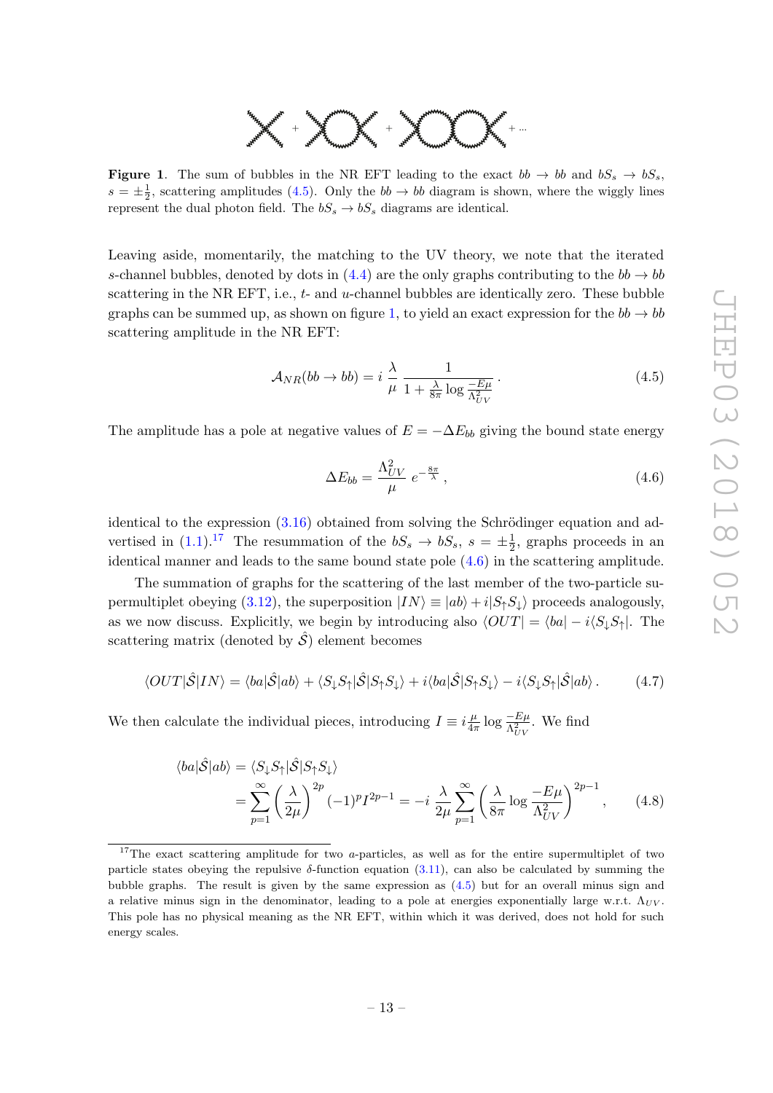

<span id="page-14-2"></span>**Figure 1.** The sum of bubbles in the NR EFT leading to the exact  $bb \rightarrow bb$  and  $bS_s \rightarrow bS_s$ ,  $s = \pm \frac{1}{2}$ , scattering amplitudes [\(4.5\)](#page-14-1). Only the  $bb \rightarrow bb$  diagram is shown, where the wiggly lines represent the dual photon field. The  $bS_s \rightarrow bS_s$  diagrams are identical.

Leaving aside, momentarily, the matching to the UV theory, we note that the iterated s-channel bubbles, denoted by dots in [\(4.4\)](#page-13-5) are the only graphs contributing to the  $bb \rightarrow bb$ scattering in the NR EFT, i.e.,  $t$ - and  $u$ -channel bubbles are identically zero. These bubble graphs can be summed up, as shown on figure [1,](#page-14-2) to yield an exact expression for the  $bb \rightarrow bb$ scattering amplitude in the NR EFT:

<span id="page-14-1"></span>
$$
\mathcal{A}_{NR}(bb \to bb) = i \frac{\lambda}{\mu} \frac{1}{1 + \frac{\lambda}{8\pi} \log \frac{-E\mu}{\Lambda_{UV}^2}}.
$$
\n(4.5)

The amplitude has a pole at negative values of  $E = -\Delta E_{bb}$  giving the bound state energy

<span id="page-14-5"></span><span id="page-14-4"></span><span id="page-14-0"></span>
$$
\Delta E_{bb} = \frac{\Lambda_{UV}^2}{\mu} \, e^{-\frac{8\pi}{\lambda}} \,, \tag{4.6}
$$

identical to the expression  $(3.16)$  obtained from solving the Schrödinger equation and advertised in  $(1.1).^{17}$  $(1.1).^{17}$  $(1.1).^{17}$  $(1.1).^{17}$  The resummation of the  $bS_s \rightarrow bS_s$ ,  $s = \pm \frac{1}{2}$  $\frac{1}{2}$ , graphs proceeds in an identical manner and leads to the same bound state pole [\(4.6\)](#page-14-0) in the scattering amplitude.

The summation of graphs for the scattering of the last member of the two-particle su-permultiplet obeying [\(3.12\)](#page-11-5), the superposition  $|IN\rangle \equiv |ab\rangle + i|S_{\uparrow}S_{\downarrow}\rangle$  proceeds analogously, as we now discuss. Explicitly, we begin by introducing also  $\langle OUT| = \langle ba| - i\langle S_\perp S_\uparrow|$ . The scattering matrix (denoted by  $\hat{S}$ ) element becomes

$$
\langle OUT|\hat{\mathcal{S}}|IN\rangle = \langle ba|\hat{\mathcal{S}}|ab\rangle + \langle S_{\downarrow}S_{\uparrow}|\hat{\mathcal{S}}|S_{\uparrow}S_{\downarrow}\rangle + i\langle ba|\hat{\mathcal{S}}|S_{\uparrow}S_{\downarrow}\rangle - i\langle S_{\downarrow}S_{\uparrow}|\hat{\mathcal{S}}|ab\rangle. \tag{4.7}
$$

We then calculate the individual pieces, introducing  $I \equiv i \frac{\mu}{4\pi}$  $\frac{\mu}{4\pi} \log \frac{-E\mu}{\Lambda_{UV}^2}$ . We find

$$
\langle ba|\hat{\mathcal{S}}|ab\rangle = \langle S_{\downarrow}S_{\uparrow}|\hat{\mathcal{S}}|S_{\uparrow}S_{\downarrow}\rangle
$$
  
= 
$$
\sum_{p=1}^{\infty} \left(\frac{\lambda}{2\mu}\right)^{2p} (-1)^{p} I^{2p-1} = -i \frac{\lambda}{2\mu} \sum_{p=1}^{\infty} \left(\frac{\lambda}{8\pi} \log \frac{-E\mu}{\Lambda_{UV}^{2}}\right)^{2p-1},
$$
 (4.8)

<span id="page-14-3"></span><sup>&</sup>lt;sup>17</sup>The exact scattering amplitude for two a-particles, as well as for the entire supermultiplet of two particle states obeying the repulsive  $\delta$ -function equation [\(3.11\)](#page-11-4), can also be calculated by summing the bubble graphs. The result is given by the same expression as [\(4.5\)](#page-14-1) but for an overall minus sign and a relative minus sign in the denominator, leading to a pole at energies exponentially large w.r.t.  $\Lambda_{UV}$ . This pole has no physical meaning as the NR EFT, within which it was derived, does not hold for such energy scales.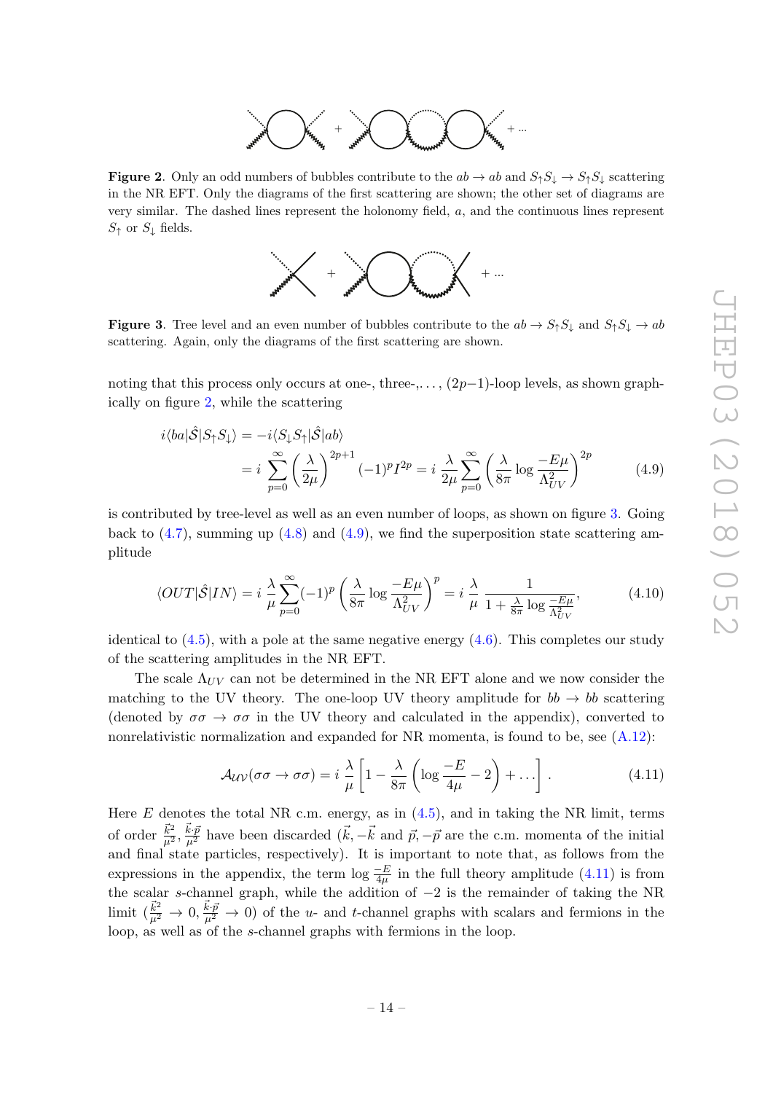

<span id="page-15-0"></span>**Figure 2.** Only an odd numbers of bubbles contribute to the  $ab \to ab$  and  $S_{\uparrow}S_{\downarrow} \to S_{\uparrow}S_{\downarrow}$  scattering in the NR EFT. Only the diagrams of the first scattering are shown; the other set of diagrams are very similar. The dashed lines represent the holonomy field, a, and the continuous lines represent  $S_{\uparrow}$  or  $S_{\downarrow}$  fields.

<span id="page-15-2"></span>

<span id="page-15-1"></span>**Figure 3.** Tree level and an even number of bubbles contribute to the  $ab \to S_{\uparrow}S_{\downarrow}$  and  $S_{\uparrow}S_{\downarrow} \to ab$ scattering. Again, only the diagrams of the first scattering are shown.

noting that this process only occurs at one-, three-,...,  $(2p-1)$ -loop levels, as shown graphically on figure [2,](#page-15-0) while the scattering

$$
i\langle ba|\hat{S}|S_{\uparrow}S_{\downarrow}\rangle = -i\langle S_{\downarrow}S_{\uparrow}|\hat{S}|ab\rangle
$$
  
=  $i\sum_{p=0}^{\infty} \left(\frac{\lambda}{2\mu}\right)^{2p+1} (-1)^p I^{2p} = i\frac{\lambda}{2\mu} \sum_{p=0}^{\infty} \left(\frac{\lambda}{8\pi} \log \frac{-E\mu}{\Lambda_{UV}^2}\right)^{2p}$  (4.9)

is contributed by tree-level as well as an even number of loops, as shown on figure [3.](#page-15-1) Going back to  $(4.7)$ , summing up  $(4.8)$  and  $(4.9)$ , we find the superposition state scattering amplitude

$$
\langle OUT|\hat{\mathcal{S}}|IN\rangle = i \frac{\lambda}{\mu} \sum_{p=0}^{\infty} (-1)^p \left(\frac{\lambda}{8\pi} \log \frac{-E\mu}{\Lambda_{UV}^2}\right)^p = i \frac{\lambda}{\mu} \frac{1}{1 + \frac{\lambda}{8\pi} \log \frac{-E\mu}{\Lambda_{UV}^2}},\tag{4.10}
$$

identical to  $(4.5)$ , with a pole at the same negative energy  $(4.6)$ . This completes our study of the scattering amplitudes in the NR EFT.

The scale  $\Lambda_{UV}$  can not be determined in the NR EFT alone and we now consider the matching to the UV theory. The one-loop UV theory amplitude for  $bb \rightarrow bb$  scattering (denoted by  $\sigma\sigma \to \sigma\sigma$  in the UV theory and calculated in the appendix), converted to nonrelativistic normalization and expanded for NR momenta, is found to be, see  $(A.12)$ :

<span id="page-15-4"></span><span id="page-15-3"></span>
$$
\mathcal{A}_{\mathcal{U}\mathcal{V}}(\sigma\sigma \to \sigma\sigma) = i \frac{\lambda}{\mu} \left[ 1 - \frac{\lambda}{8\pi} \left( \log \frac{-E}{4\mu} - 2 \right) + \ldots \right]. \tag{4.11}
$$

Here  $E$  denotes the total NR c.m. energy, as in  $(4.5)$ , and in taking the NR limit, terms of order  $\frac{\vec{k}^2}{\mu^2}$ ,  $\frac{\vec{k}\cdot\vec{p}}{\mu^2}$  have been discarded  $(\vec{k}, -\vec{k} \text{ and } \vec{p}, -\vec{p} \text{ are the c.m. momenta of the initial$ and final state particles, respectively). It is important to note that, as follows from the expressions in the appendix, the term  $\log \frac{-E}{4\mu}$  in the full theory amplitude [\(4.11\)](#page-15-3) is from  $4\mu$ the scalar s-channel graph, while the addition of −2 is the remainder of taking the NR limit  $(\frac{\vec{k}^2}{\mu^2} \to 0, \frac{\vec{k} \cdot \vec{p}}{\mu^2} \to 0)$  of the u- and t-channel graphs with scalars and fermions in the loop, as well as of the s-channel graphs with fermions in the loop.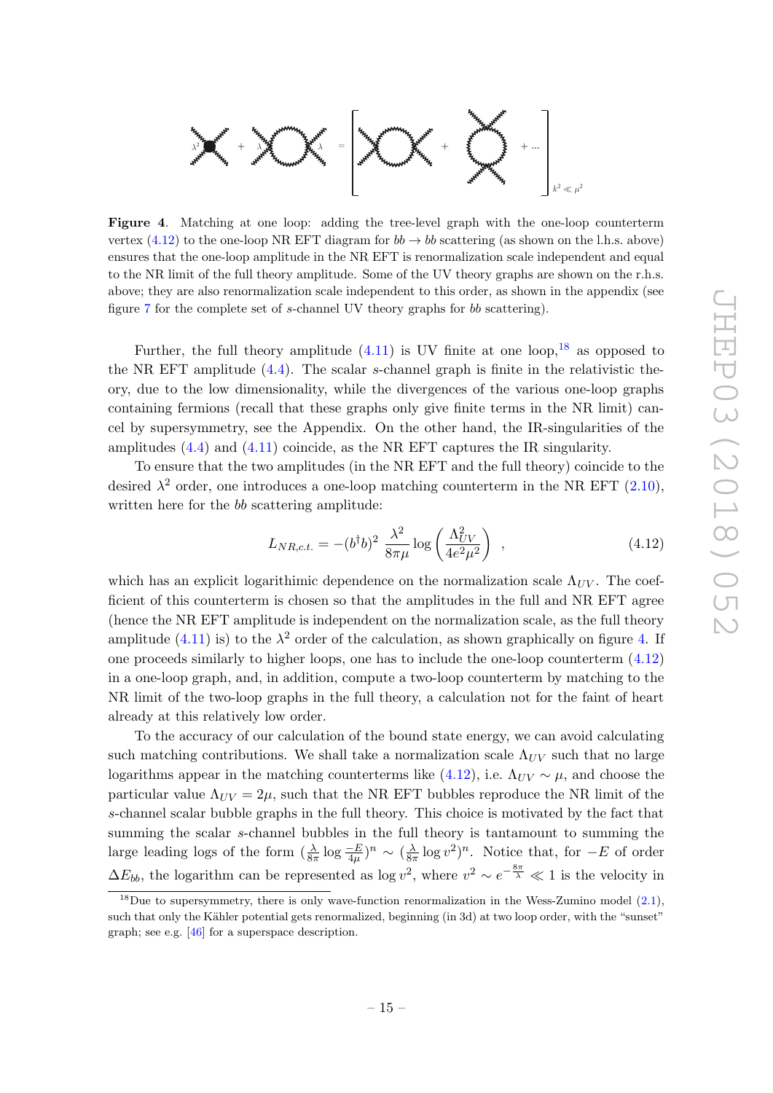

<span id="page-16-2"></span>ensures that the one-loop amplitude in the NR EFT is renormalization scale independent and equal Figure 4. Matching at one loop: adding the tree-level graph with the one-loop counterterm vertex [\(4.12\)](#page-16-0) to the one-loop NR EFT diagram for  $bb \rightarrow bb$  scattering (as shown on the l.h.s. above) to the NR limit of the full theory amplitude. Some of the UV theory graphs are shown on the r.h.s. above; they are also renormalization scale independent to this order, as shown in the appendix (see figure [7](#page-19-0) for the complete set of s-channel UV theory graphs for bb scattering).

Further, the full theory amplitude  $(4.11)$  is UV finite at one loop, <sup>[18](#page-16-1)</sup> as opposed to the NR EFT amplitude  $(4.4)$ . The scalar s-channel graph is finite in the relativistic theory, due to the low dimensionality, while the divergences of the various one-loop graphs containing fermions (recall that these graphs only give finite terms in the NR limit) cancel by supersymmetry, see the Appendix. On the other hand, the IR-singularities of the amplitudes [\(4.4\)](#page-13-5) and [\(4.11\)](#page-15-3) coincide, as the NR EFT captures the IR singularity.

To ensure that the two amplitudes (in the NR EFT and the full theory) coincide to the desired  $\lambda^2$  order, one introduces a one-loop matching counterterm in the NR EFT [\(2.10\)](#page-8-0), written here for the bb scattering amplitude:

<span id="page-16-0"></span>
$$
L_{NR,c.t.} = -(b^{\dagger}b)^2 \frac{\lambda^2}{8\pi\mu} \log\left(\frac{\Lambda_{UV}^2}{4e^2\mu^2}\right) , \qquad (4.12)
$$

which has an explicit logarithimic dependence on the normalization scale  $\Lambda_{UV}$ . The coefficient of this counterterm is chosen so that the amplitudes in the full and NR EFT agree (hence the NR EFT amplitude is independent on the normalization scale, as the full theory amplitude [\(4.11\)](#page-15-3) is) to the  $\lambda^2$  order of the calculation, as shown graphically on figure [4.](#page-16-2) If one proceeds similarly to higher loops, one has to include the one-loop counterterm [\(4.12\)](#page-16-0) in a one-loop graph, and, in addition, compute a two-loop counterterm by matching to the NR limit of the two-loop graphs in the full theory, a calculation not for the faint of heart already at this relatively low order.

To the accuracy of our calculation of the bound state energy, we can avoid calculating such matching contributions. We shall take a normalization scale  $\Lambda_{UV}$  such that no large logarithms appear in the matching counterterms like [\(4.12\)](#page-16-0), i.e.  $\Lambda_{UV} \sim \mu$ , and choose the particular value  $\Lambda_{UV} = 2\mu$ , such that the NR EFT bubbles reproduce the NR limit of the s-channel scalar bubble graphs in the full theory. This choice is motivated by the fact that summing the scalar s-channel bubbles in the full theory is tantamount to summing the large leading logs of the form  $(\frac{\lambda}{8\pi} \log \frac{-E}{4\mu})^n \sim (\frac{\lambda}{8\pi})^n$  $\frac{\lambda}{8\pi} \log v^2$ <sup>n</sup>. Notice that, for  $-E$  of order  $\Delta E_{bb}$ , the logarithm can be represented as log  $v^2$ , where  $v^2 \sim e^{-\frac{8\pi}{\lambda}} \ll 1$  is the velocity in

<span id="page-16-1"></span><sup>&</sup>lt;sup>18</sup>Due to supersymmetry, there is only wave-function renormalization in the Wess-Zumino model  $(2.1)$ , such that only the Kähler potential gets renormalized, beginning (in 3d) at two loop order, with the "sunset" graph; see e.g. [\[46\]](#page-29-3) for a superspace description.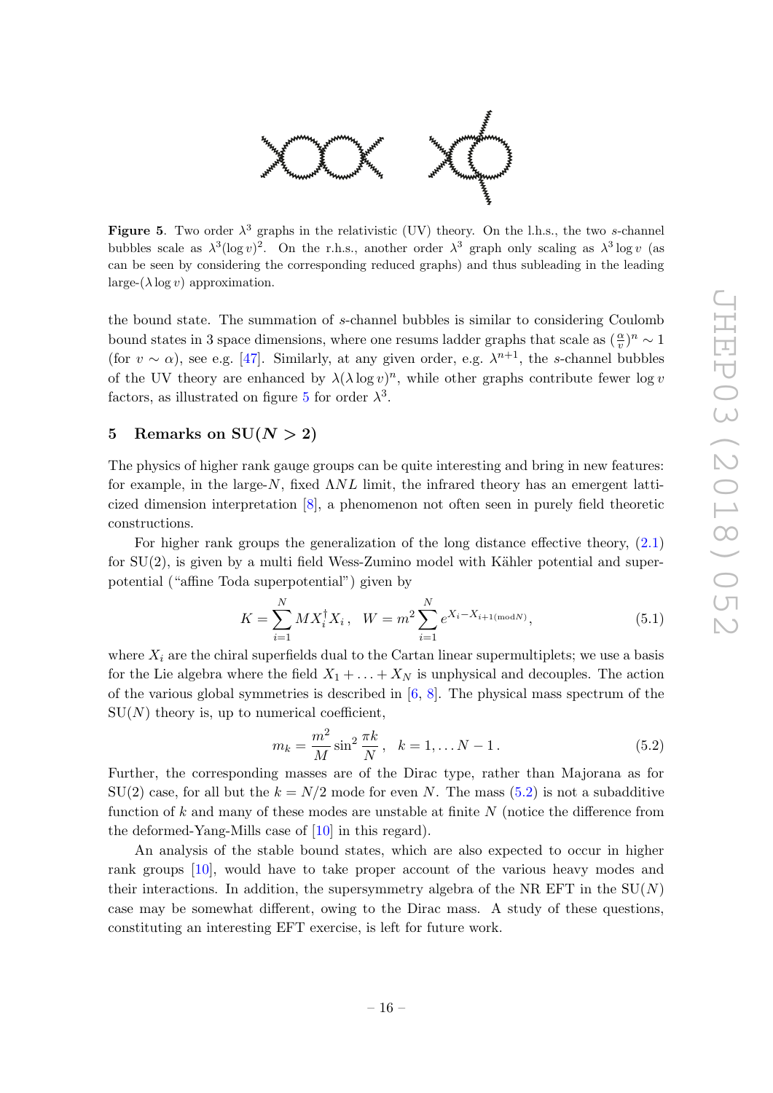

<span id="page-17-1"></span>Figure 5. Two order  $\lambda^3$  graphs in the relativistic (UV) theory. On the l.h.s., the two s-channel bubbles scale as  $\lambda^3(\log v)^2$ . On the r.h.s., another order  $\lambda^3$  graph only scaling as  $\lambda^3 \log v$  (as can be seen by considering the corresponding reduced graphs) and thus subleading in the leading  $\text{large-}(\lambda \log v)$  approximation.

the bound state. The summation of s-channel bubbles is similar to considering Coulomb bound states in 3 space dimensions, where one resums ladder graphs that scale as  $(\frac{\alpha}{v})^n \sim 1$ (for  $v \sim \alpha$ ), see e.g. [\[47\]](#page-29-4). Similarly, at any given order, e.g.  $\lambda^{n+1}$ , the s-channel bubbles of the UV theory are enhanced by  $\lambda(\lambda \log v)^n$ , while other graphs contribute fewer log v factors, as illustrated on figure [5](#page-17-1) for order  $\lambda^3$ .

## <span id="page-17-0"></span>5 Remarks on  $SU(N > 2)$

The physics of higher rank gauge groups can be quite interesting and bring in new features: for example, in the large- $N$ , fixed  $\Lambda NL$  limit, the infrared theory has an emergent latticized dimension interpretation [\[8\]](#page-27-11), a phenomenon not often seen in purely field theoretic constructions.

For higher rank groups the generalization of the long distance effective theory, [\(2.1\)](#page-5-4) for  $SU(2)$ , is given by a multi field Wess-Zumino model with Kähler potential and superpotential ("affine Toda superpotential") given by

$$
K = \sum_{i=1}^{N} M X_i^{\dagger} X_i, \quad W = m^2 \sum_{i=1}^{N} e^{X_i - X_{i+1(\text{mod}N)}}, \tag{5.1}
$$

where  $X_i$  are the chiral superfields dual to the Cartan linear supermultiplets; we use a basis for the Lie algebra where the field  $X_1 + \ldots + X_N$  is unphysical and decouples. The action of the various global symmetries is described in  $[6, 8]$  $[6, 8]$  $[6, 8]$ . The physical mass spectrum of the  $SU(N)$  theory is, up to numerical coefficient,

<span id="page-17-2"></span>
$$
m_k = \frac{m^2}{M} \sin^2 \frac{\pi k}{N}, \quad k = 1, \dots N - 1.
$$
 (5.2)

Further, the corresponding masses are of the Dirac type, rather than Majorana as for  $SU(2)$  case, for all but the  $k = N/2$  mode for even N. The mass [\(5.2\)](#page-17-2) is not a subadditive function of k and many of these modes are unstable at finite  $N$  (notice the difference from the deformed-Yang-Mills case of [\[10\]](#page-27-1) in this regard).

An analysis of the stable bound states, which are also expected to occur in higher rank groups [\[10\]](#page-27-1), would have to take proper account of the various heavy modes and their interactions. In addition, the supersymmetry algebra of the NR EFT in the  $SU(N)$ case may be somewhat different, owing to the Dirac mass. A study of these questions, constituting an interesting EFT exercise, is left for future work.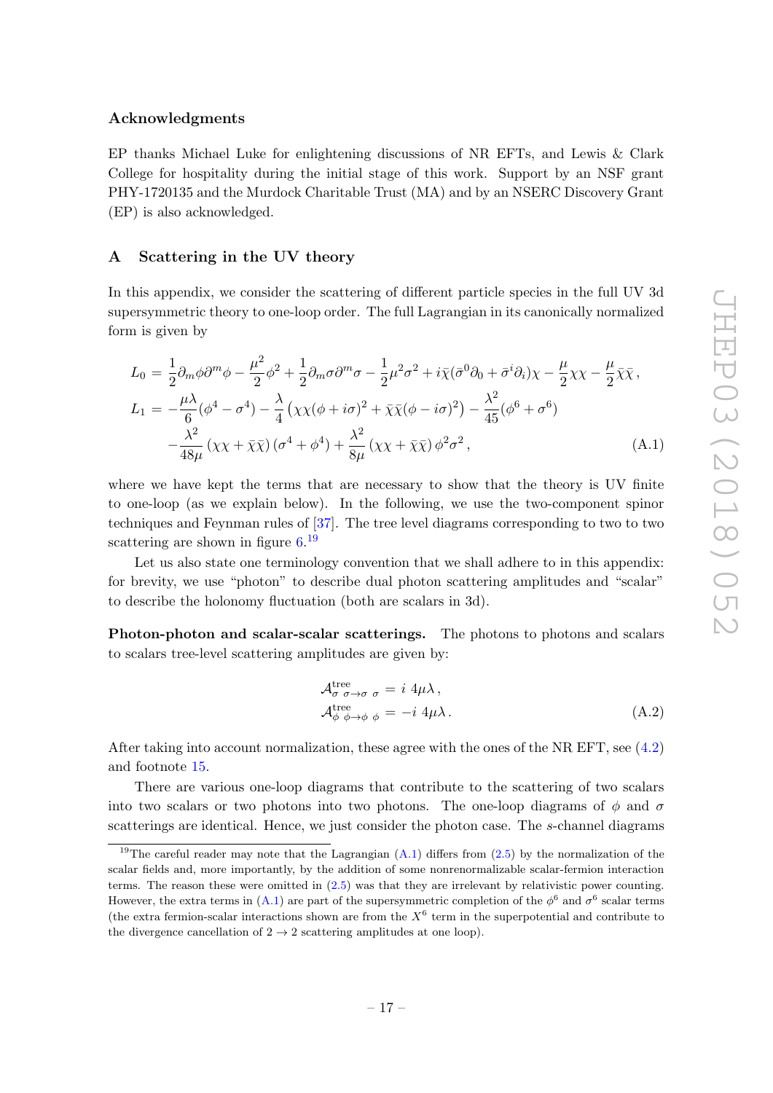#### Acknowledgments

EP thanks Michael Luke for enlightening discussions of NR EFTs, and Lewis & Clark College for hospitality during the initial stage of this work. Support by an NSF grant PHY-1720135 and the Murdock Charitable Trust (MA) and by an NSERC Discovery Grant (EP) is also acknowledged.

#### <span id="page-18-0"></span>A Scattering in the UV theory

In this appendix, we consider the scattering of different particle species in the full UV 3d supersymmetric theory to one-loop order. The full Lagrangian in its canonically normalized form is given by

<span id="page-18-2"></span>
$$
L_0 = \frac{1}{2} \partial_m \phi \partial^m \phi - \frac{\mu^2}{2} \phi^2 + \frac{1}{2} \partial_m \sigma \partial^m \sigma - \frac{1}{2} \mu^2 \sigma^2 + i \bar{\chi} (\bar{\sigma}^0 \partial_0 + \bar{\sigma}^i \partial_i) \chi - \frac{\mu}{2} \chi \chi - \frac{\mu}{2} \bar{\chi} \bar{\chi},
$$
  
\n
$$
L_1 = -\frac{\mu \lambda}{6} (\phi^4 - \sigma^4) - \frac{\lambda}{4} \left( \chi \chi (\phi + i \sigma)^2 + \bar{\chi} \bar{\chi} (\phi - i \sigma)^2 \right) - \frac{\lambda^2}{45} (\phi^6 + \sigma^6)
$$
  
\n
$$
-\frac{\lambda^2}{48 \mu} (\chi \chi + \bar{\chi} \bar{\chi}) (\sigma^4 + \phi^4) + \frac{\lambda^2}{8 \mu} (\chi \chi + \bar{\chi} \bar{\chi}) \phi^2 \sigma^2,
$$
\n(A.1)

where we have kept the terms that are necessary to show that the theory is UV finite to one-loop (as we explain below). In the following, we use the two-component spinor techniques and Feynman rules of [\[37\]](#page-28-11). The tree level diagrams corresponding to two to two scattering are shown in figure [6.](#page-19-1)<sup>[19](#page-18-1)</sup>

Let us also state one terminology convention that we shall adhere to in this appendix: for brevity, we use "photon" to describe dual photon scattering amplitudes and "scalar" to describe the holonomy fluctuation (both are scalars in 3d).

Photon-photon and scalar-scalar scatterings. The photons to photons and scalars to scalars tree-level scattering amplitudes are given by:

$$
\mathcal{A}_{\sigma \sigma \to \sigma \sigma}^{\text{tree}} = i 4\mu\lambda ,\n\mathcal{A}_{\phi \phi \to \phi \phi}^{\text{tree}} = -i 4\mu\lambda .
$$
\n(A.2)

After taking into account normalization, these agree with the ones of the NR EFT, see [\(4.2\)](#page-13-6) and footnote [15.](#page-13-1)

There are various one-loop diagrams that contribute to the scattering of two scalars into two scalars or two photons into two photons. The one-loop diagrams of  $\phi$  and  $\sigma$ scatterings are identical. Hence, we just consider the photon case. The s-channel diagrams

<span id="page-18-1"></span><sup>&</sup>lt;sup>19</sup>The careful reader may note that the Lagrangian  $(A.1)$  differs from  $(2.5)$  by the normalization of the scalar fields and, more importantly, by the addition of some nonrenormalizable scalar-fermion interaction terms. The reason these were omitted in [\(2.5\)](#page-7-6) was that they are irrelevant by relativistic power counting. However, the extra terms in [\(A.1\)](#page-18-2) are part of the supersymmetric completion of the  $\phi^6$  and  $\sigma^6$  scalar terms (the extra fermion-scalar interactions shown are from the  $X^6$  term in the superpotential and contribute to the divergence cancellation of  $2 \rightarrow 2$  scattering amplitudes at one loop).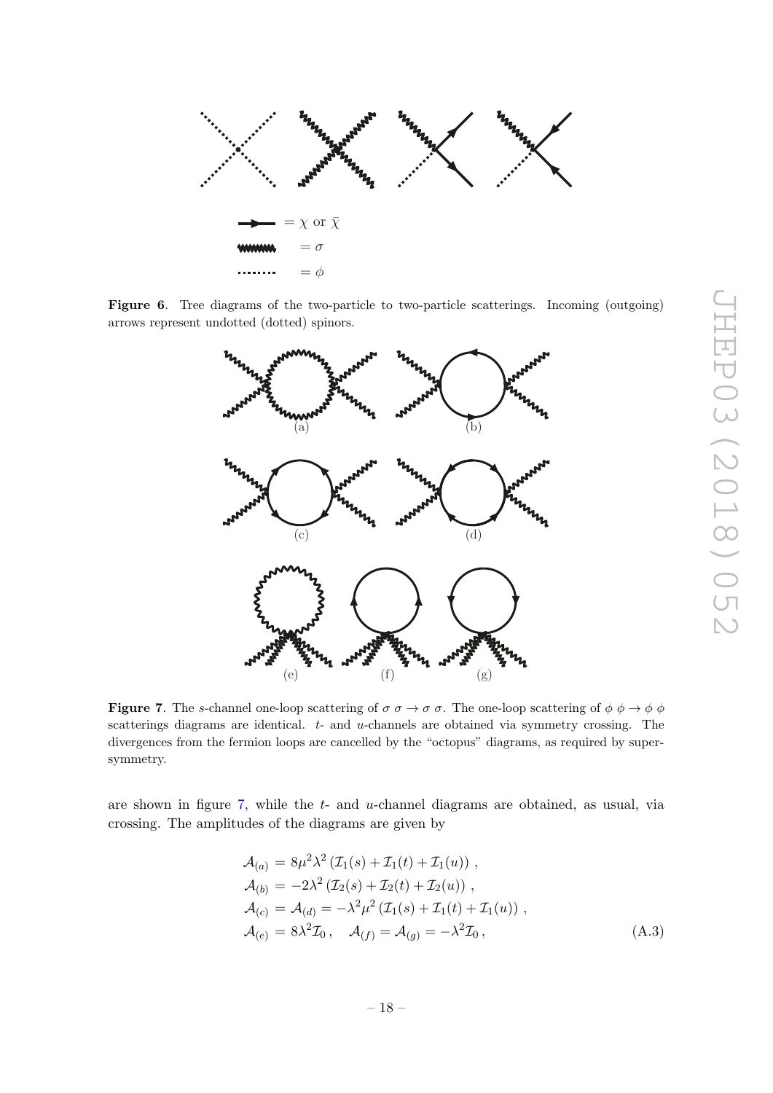

Figure 6. Tree diagrams of the two-particle to two-particle scatterings. Incoming (outgoing) arrows represent undotted (dotted) spinors.

<span id="page-19-1"></span>

<span id="page-19-0"></span>**Figure 7.** The s-channel one-loop scattering of  $\sigma \to \sigma \sigma$ . The one-loop scattering of  $\phi \to \phi \phi$ scatterings diagrams are identical.  $t-$  and  $u$ -channels are obtained via symmetry crossing. The divergences from the fermion loops are cancelled by the "octopus" diagrams, as required by supersymmetry.

are shown in figure  $7$ , while the  $t$ - and  $u$ -channel diagrams are obtained, as usual, via crossing. The amplitudes of the diagrams are given by

$$
\mathcal{A}_{(a)} = 8\mu^2 \lambda^2 \left( \mathcal{I}_1(s) + \mathcal{I}_1(t) + \mathcal{I}_1(u) \right) ,
$$
  
\n
$$
\mathcal{A}_{(b)} = -2\lambda^2 \left( \mathcal{I}_2(s) + \mathcal{I}_2(t) + \mathcal{I}_2(u) \right) ,
$$
  
\n
$$
\mathcal{A}_{(c)} = \mathcal{A}_{(d)} = -\lambda^2 \mu^2 \left( \mathcal{I}_1(s) + \mathcal{I}_1(t) + \mathcal{I}_1(u) \right) ,
$$
  
\n
$$
\mathcal{A}_{(e)} = 8\lambda^2 \mathcal{I}_0 , \quad \mathcal{A}_{(f)} = \mathcal{A}_{(g)} = -\lambda^2 \mathcal{I}_0 ,
$$
\n(A.3)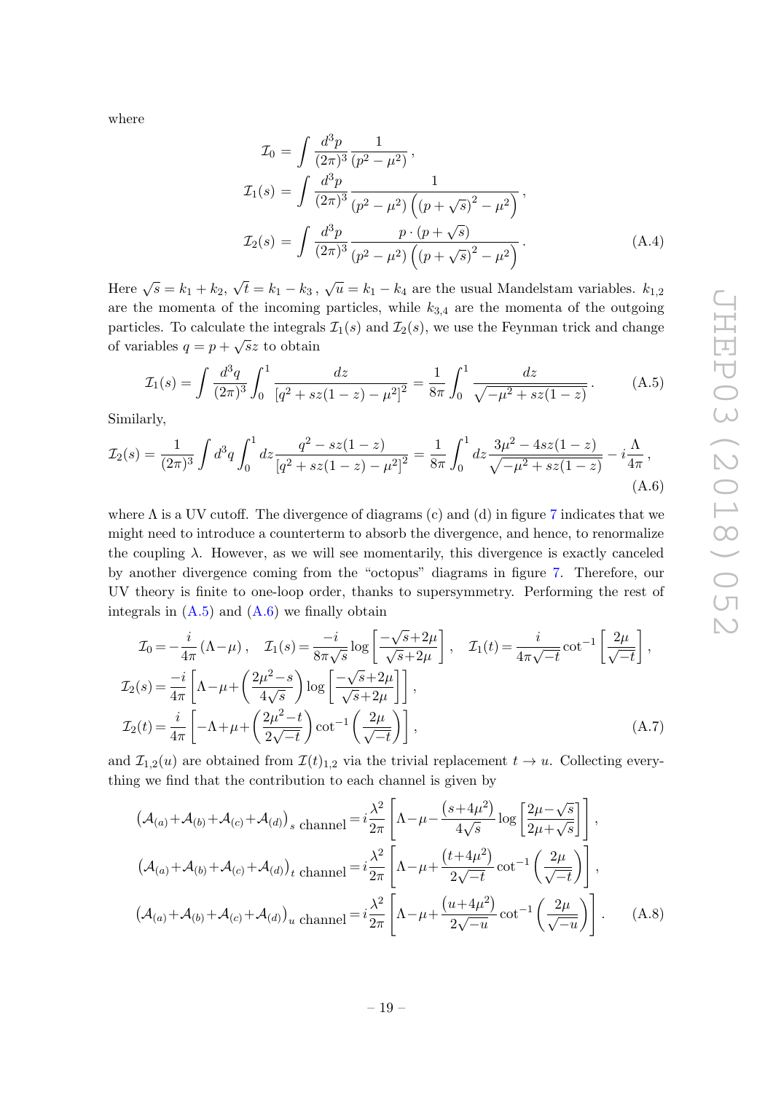where

$$
\mathcal{I}_0 = \int \frac{d^3 p}{(2\pi)^3} \frac{1}{(p^2 - \mu^2)},
$$
  
\n
$$
\mathcal{I}_1(s) = \int \frac{d^3 p}{(2\pi)^3} \frac{1}{(p^2 - \mu^2) \left( (p + \sqrt{s})^2 - \mu^2 \right)},
$$
  
\n
$$
\mathcal{I}_2(s) = \int \frac{d^3 p}{(2\pi)^3} \frac{p \cdot (p + \sqrt{s})}{(p^2 - \mu^2) \left( (p + \sqrt{s})^2 - \mu^2 \right)}.
$$
\n(A.4)

Here  $\sqrt{s} = k_1 + k_2$ , √  $\overline{t} = k_1 - k_3$ ,  $\sqrt{u} = k_1 - k_4$  are the usual Mandelstam variables.  $k_{1,2}$ are the momenta of the incoming particles, while  $k_{3,4}$  are the momenta of the outgoing particles. To calculate the integrals  $\mathcal{I}_1(s)$  and  $\mathcal{I}_2(s)$ , we use the Feynman trick and change of variables  $q = p + \sqrt{sz}$  to obtain

<span id="page-20-0"></span>
$$
\mathcal{I}_1(s) = \int \frac{d^3q}{(2\pi)^3} \int_0^1 \frac{dz}{[q^2 + sz(1-z) - \mu^2]^2} = \frac{1}{8\pi} \int_0^1 \frac{dz}{\sqrt{-\mu^2 + sz(1-z)}}.
$$
 (A.5)

Similarly,

<span id="page-20-1"></span>
$$
\mathcal{I}_2(s) = \frac{1}{(2\pi)^3} \int d^3q \int_0^1 dz \frac{q^2 - sz(1-z)}{[q^2 + sz(1-z) - \mu^2]^2} = \frac{1}{8\pi} \int_0^1 dz \frac{3\mu^2 - 4sz(1-z)}{\sqrt{-\mu^2 + sz(1-z)}} - i\frac{\Lambda}{4\pi},\tag{A.6}
$$

where  $\Lambda$  is a UV cutoff. The divergence of diagrams (c) and (d) in figure [7](#page-19-0) indicates that we might need to introduce a counterterm to absorb the divergence, and hence, to renormalize the coupling  $\lambda$ . However, as we will see momentarily, this divergence is exactly canceled by another divergence coming from the "octopus" diagrams in figure [7.](#page-19-0) Therefore, our UV theory is finite to one-loop order, thanks to supersymmetry. Performing the rest of integrals in  $(A.5)$  and  $(A.6)$  we finally obtain

$$
\mathcal{I}_0 = -\frac{i}{4\pi} (\Lambda - \mu) , \quad \mathcal{I}_1(s) = \frac{-i}{8\pi\sqrt{s}} \log \left[ \frac{-\sqrt{s} + 2\mu}{\sqrt{s} + 2\mu} \right] , \quad \mathcal{I}_1(t) = \frac{i}{4\pi\sqrt{-t}} \cot^{-1} \left[ \frac{2\mu}{\sqrt{-t}} \right] ,
$$
  

$$
\mathcal{I}_2(s) = \frac{-i}{4\pi} \left[ \Lambda - \mu + \left( \frac{2\mu^2 - s}{4\sqrt{s}} \right) \log \left[ \frac{-\sqrt{s} + 2\mu}{\sqrt{s} + 2\mu} \right] \right] ,
$$
  

$$
\mathcal{I}_2(t) = \frac{i}{4\pi} \left[ -\Lambda + \mu + \left( \frac{2\mu^2 - t}{2\sqrt{-t}} \right) \cot^{-1} \left( \frac{2\mu}{\sqrt{-t}} \right) \right] ,
$$
 (A.7)

and  $\mathcal{I}_{1,2}(u)$  are obtained from  $\mathcal{I}(t)_{1,2}$  via the trivial replacement  $t \to u$ . Collecting everything we find that the contribution to each channel is given by

$$
\left(\mathcal{A}_{(a)} + \mathcal{A}_{(b)} + \mathcal{A}_{(c)} + \mathcal{A}_{(d)}\right)_s \text{ channel} = i\frac{\lambda^2}{2\pi} \left[\Lambda - \mu - \frac{(s+4\mu^2)}{4\sqrt{s}}\log\left[\frac{2\mu - \sqrt{s}}{2\mu + \sqrt{s}}\right]\right],
$$
\n
$$
\left(\mathcal{A}_{(a)} + \mathcal{A}_{(b)} + \mathcal{A}_{(c)} + \mathcal{A}_{(d)}\right)_t \text{ channel} = i\frac{\lambda^2}{2\pi} \left[\Lambda - \mu + \frac{(t+4\mu^2)}{2\sqrt{-t}}\cot^{-1}\left(\frac{2\mu}{\sqrt{-t}}\right)\right],
$$
\n
$$
\left(\mathcal{A}_{(a)} + \mathcal{A}_{(b)} + \mathcal{A}_{(c)} + \mathcal{A}_{(d)}\right)_u \text{ channel} = i\frac{\lambda^2}{2\pi} \left[\Lambda - \mu + \frac{(u+4\mu^2)}{2\sqrt{-u}}\cot^{-1}\left(\frac{2\mu}{\sqrt{-u}}\right)\right].
$$
\n(A.8)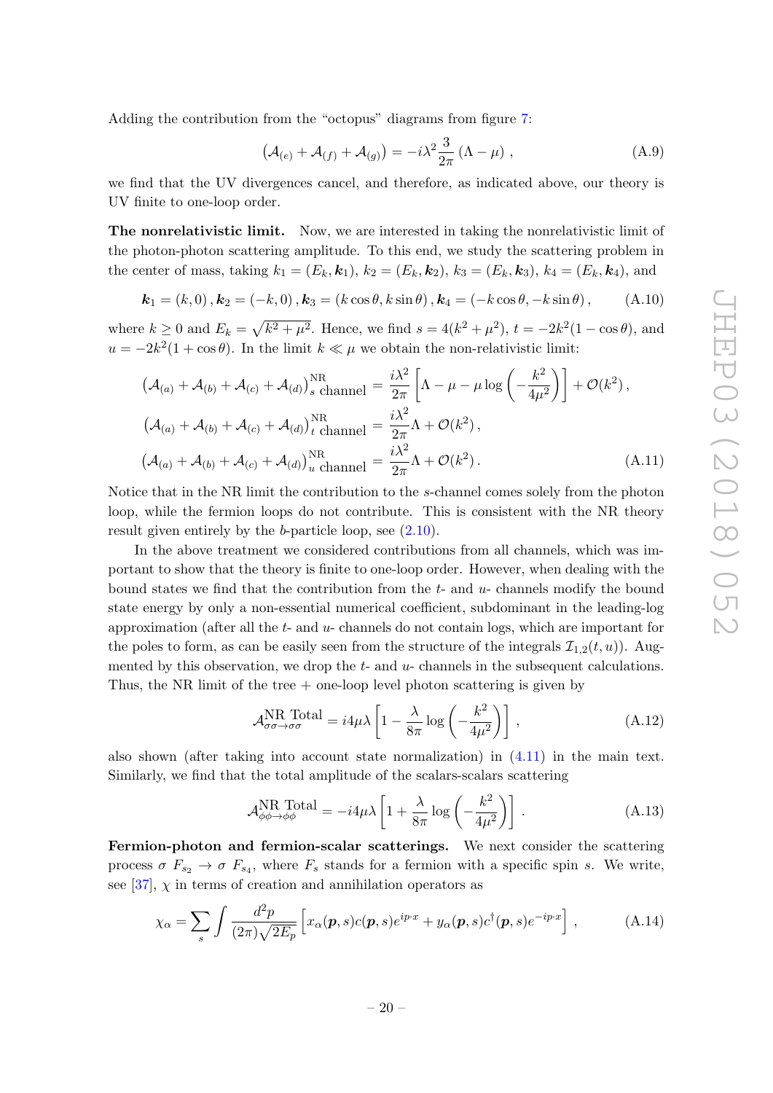Adding the contribution from the "octopus" diagrams from figure [7:](#page-19-0)

$$
\left(\mathcal{A}_{(e)} + \mathcal{A}_{(f)} + \mathcal{A}_{(g)}\right) = -i\lambda^2 \frac{3}{2\pi} \left(\Lambda - \mu\right) ,\qquad (A.9)
$$

we find that the UV divergences cancel, and therefore, as indicated above, our theory is UV finite to one-loop order.

The nonrelativistic limit. Now, we are interested in taking the nonrelativistic limit of the photon-photon scattering amplitude. To this end, we study the scattering problem in the center of mass, taking  $k_1 = (E_k, \mathbf{k}_1), k_2 = (E_k, \mathbf{k}_2), k_3 = (E_k, \mathbf{k}_3), k_4 = (E_k, \mathbf{k}_4)$ , and

<span id="page-21-1"></span>
$$
\mathbf{k}_1 = (k, 0), \mathbf{k}_2 = (-k, 0), \mathbf{k}_3 = (k \cos \theta, k \sin \theta), \mathbf{k}_4 = (-k \cos \theta, -k \sin \theta), \quad (A.10)
$$

where  $k \ge 0$  and  $E_k = \sqrt{k^2 + \mu^2}$ . Hence, we find  $s = 4(k^2 + \mu^2)$ ,  $t = -2k^2(1 - \cos\theta)$ , and  $u = -2k^2(1 + \cos\theta)$ . In the limit  $k \ll \mu$  we obtain the non-relativistic limit:

$$
\left(\mathcal{A}_{(a)} + \mathcal{A}_{(b)} + \mathcal{A}_{(c)} + \mathcal{A}_{(d)}\right)_{s \text{ channel}}^{NR} = \frac{i\lambda^2}{2\pi} \left[\Lambda - \mu - \mu \log\left(-\frac{k^2}{4\mu^2}\right)\right] + \mathcal{O}(k^2),
$$
\n
$$
\left(\mathcal{A}_{(a)} + \mathcal{A}_{(b)} + \mathcal{A}_{(c)} + \mathcal{A}_{(d)}\right)_{t \text{ channel}}^{NR} = \frac{i\lambda^2}{2\pi}\Lambda + \mathcal{O}(k^2),
$$
\n
$$
\left(\mathcal{A}_{(a)} + \mathcal{A}_{(b)} + \mathcal{A}_{(c)} + \mathcal{A}_{(d)}\right)_{u \text{ channel}}^{NR} = \frac{i\lambda^2}{2\pi}\Lambda + \mathcal{O}(k^2).
$$
\n(A.11)

Notice that in the NR limit the contribution to the s-channel comes solely from the photon loop, while the fermion loops do not contribute. This is consistent with the NR theory result given entirely by the  $b$ -particle loop, see  $(2.10)$ .

In the above treatment we considered contributions from all channels, which was important to show that the theory is finite to one-loop order. However, when dealing with the bound states we find that the contribution from the  $t$ - and  $u$ - channels modify the bound state energy by only a non-essential numerical coefficient, subdominant in the leading-log approximation (after all the  $t-$  and  $u-$  channels do not contain logs, which are important for the poles to form, as can be easily seen from the structure of the integrals  $\mathcal{I}_{1,2}(t,u)$ ). Augmented by this observation, we drop the  $t$ - and  $u$ - channels in the subsequent calculations. Thus, the NR limit of the tree  $+$  one-loop level photon scattering is given by

<span id="page-21-0"></span>
$$
\mathcal{A}_{\sigma\sigma \to \sigma\sigma}^{\text{NR Total}} = i4\mu\lambda \left[ 1 - \frac{\lambda}{8\pi} \log \left( -\frac{k^2}{4\mu^2} \right) \right],
$$
 (A.12)

also shown (after taking into account state normalization) in [\(4.11\)](#page-15-3) in the main text. Similarly, we find that the total amplitude of the scalars-scalars scattering

$$
\mathcal{A}_{\phi\phi \to \phi\phi}^{\text{NR Total}} = -i4\mu\lambda \left[ 1 + \frac{\lambda}{8\pi} \log \left( -\frac{k^2}{4\mu^2} \right) \right].
$$
 (A.13)

Fermion-photon and fermion-scalar scatterings. We next consider the scattering process  $\sigma F_{s_2} \to \sigma F_{s_4}$ , where  $F_s$  stands for a fermion with a specific spin s. We write, see [\[37\]](#page-28-11),  $\chi$  in terms of creation and annihilation operators as

$$
\chi_{\alpha} = \sum_{s} \int \frac{d^2 p}{(2\pi)\sqrt{2E_p}} \left[ x_{\alpha}(\boldsymbol{p}, s) c(\boldsymbol{p}, s) e^{ip \cdot x} + y_{\alpha}(\boldsymbol{p}, s) c^{\dagger}(\boldsymbol{p}, s) e^{-ip \cdot x} \right], \tag{A.14}
$$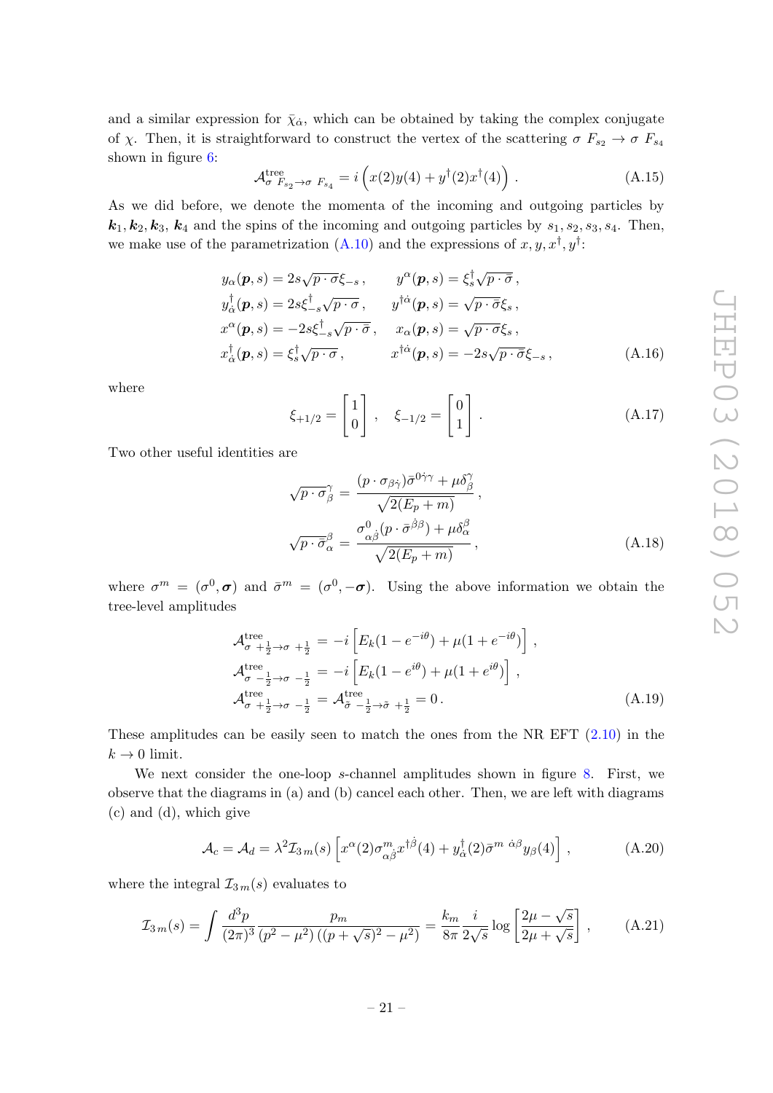and a similar expression for  $\bar{\chi}_{\dot{\alpha}}$ , which can be obtained by taking the complex conjugate of χ. Then, it is straightforward to construct the vertex of the scattering  $\sigma F_{s_2} \to \sigma F_{s_4}$ shown in figure [6:](#page-19-1)

$$
\mathcal{A}_{\sigma F_{s_2} \to \sigma F_{s_4}}^{\text{tree}} = i \left( x(2)y(4) + y^{\dagger}(2)x^{\dagger}(4) \right). \tag{A.15}
$$

As we did before, we denote the momenta of the incoming and outgoing particles by  $k_1, k_2, k_3, k_4$  and the spins of the incoming and outgoing particles by  $s_1, s_2, s_3, s_4$ . Then, we make use of the parametrization [\(A.10\)](#page-21-1) and the expressions of  $x, y, x^{\dagger}, y^{\dagger}$ :

$$
y_{\alpha}(\mathbf{p}, s) = 2s\sqrt{p \cdot \sigma} \xi_{-s}, \qquad y^{\alpha}(\mathbf{p}, s) = \xi_{s}^{\dagger} \sqrt{p \cdot \bar{\sigma}},
$$
  
\n
$$
y_{\alpha}^{\dagger}(\mathbf{p}, s) = 2s\xi_{-s}^{\dagger} \sqrt{p \cdot \sigma}, \qquad y^{\dagger \dot{\alpha}}(\mathbf{p}, s) = \sqrt{p \cdot \bar{\sigma}} \xi_{s},
$$
  
\n
$$
x^{\alpha}(\mathbf{p}, s) = -2s\xi_{-s}^{\dagger} \sqrt{p \cdot \bar{\sigma}}, \qquad x_{\alpha}(\mathbf{p}, s) = \sqrt{p \cdot \sigma} \xi_{s},
$$
  
\n
$$
x_{\alpha}^{\dagger}(\mathbf{p}, s) = \xi_{s}^{\dagger} \sqrt{p \cdot \sigma}, \qquad x^{\dagger \dot{\alpha}}(\mathbf{p}, s) = -2s\sqrt{p \cdot \bar{\sigma}} \xi_{-s},
$$
\n(A.16)

where

<span id="page-22-0"></span>
$$
\xi_{+1/2} = \begin{bmatrix} 1 \\ 0 \end{bmatrix}, \quad \xi_{-1/2} = \begin{bmatrix} 0 \\ 1 \end{bmatrix}.
$$
 (A.17)

Two other useful identities are

<span id="page-22-1"></span>
$$
\sqrt{p \cdot \sigma_{\beta}} = \frac{(p \cdot \sigma_{\beta \dot{\gamma}}) \bar{\sigma}^{0\dot{\gamma}\gamma} + \mu \delta_{\beta}^{\gamma}}{\sqrt{2(E_p + m)}},
$$
  

$$
\sqrt{p \cdot \bar{\sigma}_{\alpha}}^{\beta} = \frac{\sigma_{\alpha \dot{\beta}}^{0} (p \cdot \bar{\sigma}^{\dot{\beta}\beta}) + \mu \delta_{\alpha}^{\beta}}{\sqrt{2(E_p + m)}},
$$
(A.18)

where  $\sigma^m = (\sigma^0, \sigma)$  and  $\bar{\sigma}^m = (\sigma^0, -\sigma)$ . Using the above information we obtain the tree-level amplitudes

$$
\mathcal{A}_{\sigma + \frac{1}{2} \to \sigma + \frac{1}{2}}^{\text{tree}} = -i \left[ E_k (1 - e^{-i\theta}) + \mu (1 + e^{-i\theta}) \right],
$$
\n
$$
\mathcal{A}_{\sigma - \frac{1}{2} \to \sigma - \frac{1}{2}}^{\text{tree}} = -i \left[ E_k (1 - e^{i\theta}) + \mu (1 + e^{i\theta}) \right],
$$
\n
$$
\mathcal{A}_{\sigma + \frac{1}{2} \to \sigma - \frac{1}{2}}^{\text{tree}} = \mathcal{A}_{\tilde{\sigma} - \frac{1}{2} \to \tilde{\sigma} + \frac{1}{2}}^{\text{tree}} = 0.
$$
\n(A.19)

These amplitudes can be easily seen to match the ones from the NR EFT [\(2.10\)](#page-8-0) in the  $k \to 0$  limit.

We next consider the one-loop s-channel amplitudes shown in figure [8.](#page-23-0) First, we observe that the diagrams in (a) and (b) cancel each other. Then, we are left with diagrams (c) and (d), which give

$$
\mathcal{A}_c = \mathcal{A}_d = \lambda^2 \mathcal{I}_{3\,m}(s) \left[ x^{\alpha}(2) \sigma_{\alpha\dot{\beta}}^m x^{\dagger\dot{\beta}}(4) + y^{\dagger}_{\dot{\alpha}}(2) \bar{\sigma}^{m \dot{\alpha}\beta} y_{\beta}(4) \right] \,, \tag{A.20}
$$

where the integral  $\mathcal{I}_{3m}(s)$  evaluates to

$$
\mathcal{I}_{3m}(s) = \int \frac{d^3 p}{(2\pi)^3} \frac{p_m}{(p^2 - \mu^2) \left( (p + \sqrt{s})^2 - \mu^2 \right)} = \frac{k_m}{8\pi} \frac{i}{2\sqrt{s}} \log \left[ \frac{2\mu - \sqrt{s}}{2\mu + \sqrt{s}} \right],\tag{A.21}
$$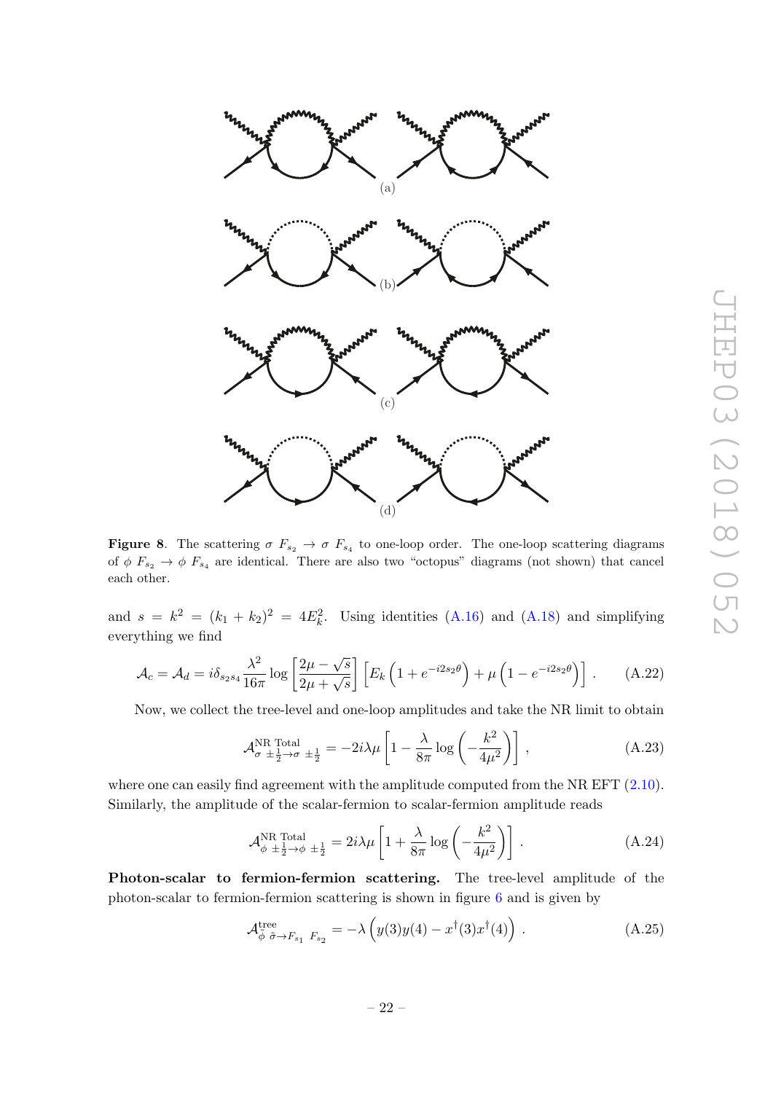

<span id="page-23-0"></span>**Figure 8.** The scattering  $\sigma F_{s_2} \to \sigma F_{s_4}$  to one-loop order. The one-loop scattering diagrams of  $\phi$   $F_{s_2} \to \phi$   $F_{s_4}$  are identical. There are also two "octopus" diagrams (not shown) that cancel each other.

and  $s = k^2 = (k_1 + k_2)^2 = 4E_k^2$ . Using identities [\(A.16\)](#page-22-0) and [\(A.18\)](#page-22-1) and simplifying everything we find

$$
\mathcal{A}_c = \mathcal{A}_d = i\delta_{s_2s_4} \frac{\lambda^2}{16\pi} \log \left[ \frac{2\mu - \sqrt{s}}{2\mu + \sqrt{s}} \right] \left[ E_k \left( 1 + e^{-i2s_2\theta} \right) + \mu \left( 1 - e^{-i2s_2\theta} \right) \right]. \tag{A.22}
$$

Now, we collect the tree-level and one-loop amplitudes and take the NR limit to obtain

$$
\mathcal{A}_{\sigma}^{\text{NR Total}}|_{\pm \frac{1}{2} \to \sigma} = -2i\lambda \mu \left[ 1 - \frac{\lambda}{8\pi} \log \left( -\frac{k^2}{4\mu^2} \right) \right], \tag{A.23}
$$

where one can easily find agreement with the amplitude computed from the NR EFT  $(2.10)$ . Similarly, the amplitude of the scalar-fermion to scalar-fermion amplitude reads

$$
\mathcal{A}_{\phi}^{\text{NR Total}}|_{\pm\frac{1}{2}\to\phi} \pm \frac{1}{2} = 2i\lambda\mu \left[ 1 + \frac{\lambda}{8\pi} \log\left( -\frac{k^2}{4\mu^2} \right) \right]. \tag{A.24}
$$

Photon-scalar to fermion-fermion scattering. The tree-level amplitude of the photon-scalar to fermion-fermion scattering is shown in figure [6](#page-19-1) and is given by

$$
\mathcal{A}_{\tilde{\phi}}^{\text{tree}} \tilde{\sigma} \to F_{s_1} F_{s_2} = -\lambda \left( y(3)y(4) - x^{\dagger} (3)x^{\dagger} (4) \right) . \tag{A.25}
$$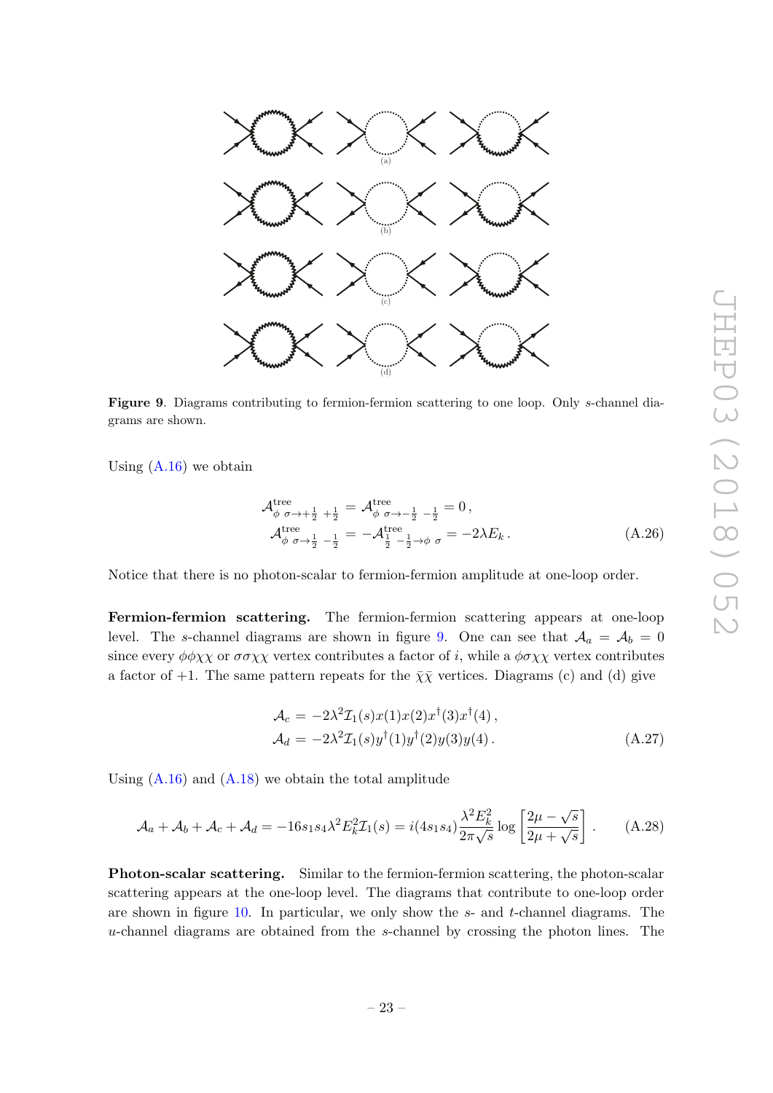

<span id="page-24-0"></span>Figure 9. Diagrams contributing to fermion-fermion scattering to one loop. Only s-channel diagrams are shown.

Using  $(A.16)$  we obtain

<span id="page-24-1"></span>
$$
\mathcal{A}_{\phi \ \sigma \to +\frac{1}{2} + \frac{1}{2}}^{\text{tree}} = \mathcal{A}_{\phi \ \sigma \to -\frac{1}{2} - \frac{1}{2}}^{\text{tree}} = 0, \n\mathcal{A}_{\phi \ \sigma \to \frac{1}{2} - \frac{1}{2}}^{\text{tree}} = -\mathcal{A}_{\frac{1}{2} - \frac{1}{2} \to \phi \ \sigma}^{\text{tree}} = -2\lambda E_k.
$$
\n(A.26)

Notice that there is no photon-scalar to fermion-fermion amplitude at one-loop order.

Fermion-fermion scattering. The fermion-fermion scattering appears at one-loop level. The s-channel diagrams are shown in figure [9.](#page-24-0) One can see that  $A_a = A_b = 0$ since every  $\phi \phi \chi \chi$  or  $\sigma \sigma \chi \chi$  vertex contributes a factor of i, while a  $\phi \sigma \chi \chi$  vertex contributes a factor of +1. The same pattern repeats for the  $\bar{\chi}\bar{\chi}$  vertices. Diagrams (c) and (d) give

$$
\mathcal{A}_c = -2\lambda^2 \mathcal{I}_1(s)x(1)x(2)x^{\dagger}(3)x^{\dagger}(4),
$$
  
\n
$$
\mathcal{A}_d = -2\lambda^2 \mathcal{I}_1(s)y^{\dagger}(1)y^{\dagger}(2)y(3)y(4).
$$
\n(A.27)

Using  $(A.16)$  and  $(A.18)$  we obtain the total amplitude

<span id="page-24-2"></span>
$$
\mathcal{A}_a + \mathcal{A}_b + \mathcal{A}_c + \mathcal{A}_d = -16s_1s_4\lambda^2 E_k^2 \mathcal{I}_1(s) = i(4s_1s_4) \frac{\lambda^2 E_k^2}{2\pi \sqrt{s}} \log \left[ \frac{2\mu - \sqrt{s}}{2\mu + \sqrt{s}} \right].
$$
 (A.28)

Photon-scalar scattering. Similar to the fermion-fermion scattering, the photon-scalar scattering appears at the one-loop level. The diagrams that contribute to one-loop order are shown in figure [10.](#page-25-0) In particular, we only show the  $s$ - and  $t$ -channel diagrams. The  $u$ -channel diagrams are obtained from the s-channel by crossing the photon lines. The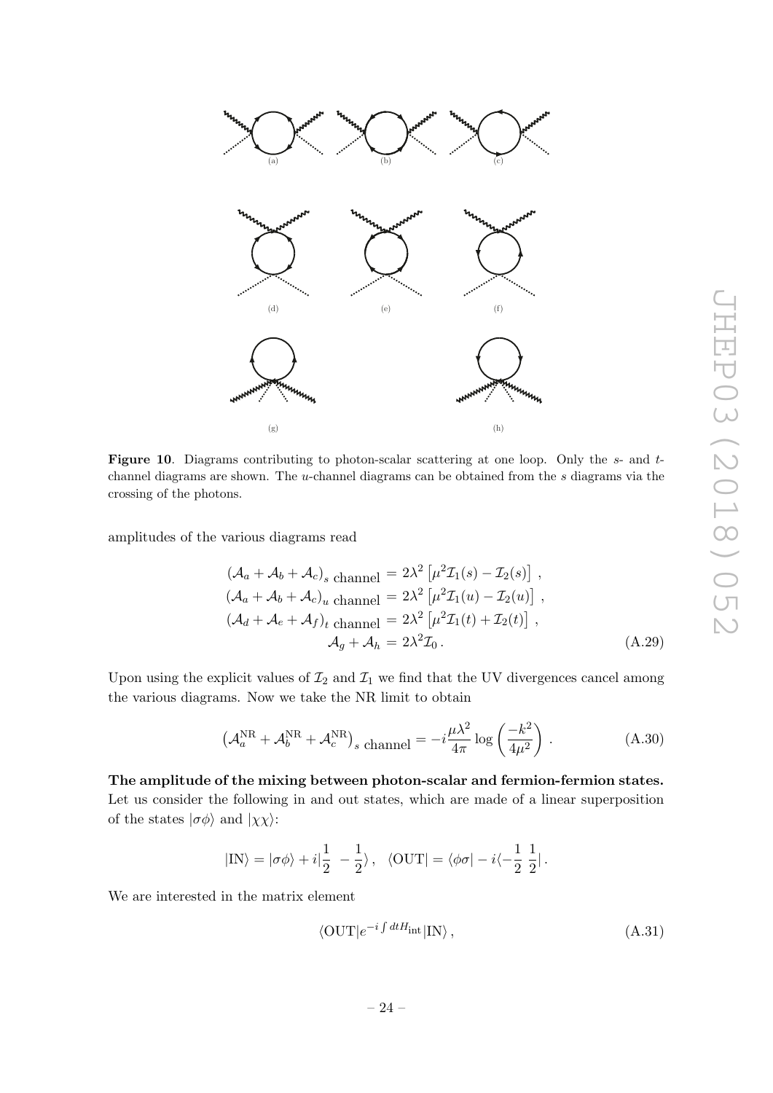

<span id="page-25-0"></span>**Figure 10.** Diagrams contributing to photon-scalar scattering at one loop. Only the  $s$ - and  $t$ channel diagrams are shown. The  $u$ -channel diagrams can be obtained from the  $s$  diagrams via the crossing of the photons.

amplitudes of the various diagrams read

$$
(\mathcal{A}_a + \mathcal{A}_b + \mathcal{A}_c)_s
$$
 channel 
$$
= 2\lambda^2 \left[ \mu^2 \mathcal{I}_1(s) - \mathcal{I}_2(s) \right],
$$
  

$$
(\mathcal{A}_a + \mathcal{A}_b + \mathcal{A}_c)_u
$$
 channel 
$$
= 2\lambda^2 \left[ \mu^2 \mathcal{I}_1(u) - \mathcal{I}_2(u) \right],
$$
  

$$
(\mathcal{A}_d + \mathcal{A}_e + \mathcal{A}_f)_t
$$
 channel 
$$
= 2\lambda^2 \left[ \mu^2 \mathcal{I}_1(t) + \mathcal{I}_2(t) \right],
$$
  

$$
\mathcal{A}_g + \mathcal{A}_h = 2\lambda^2 \mathcal{I}_0.
$$
 (A.29)

Upon using the explicit values of  $\mathcal{I}_2$  and  $\mathcal{I}_1$  we find that the UV divergences cancel among the various diagrams. Now we take the NR limit to obtain

<span id="page-25-1"></span>
$$
\left(\mathcal{A}_a^{\text{NR}} + \mathcal{A}_b^{\text{NR}} + \mathcal{A}_c^{\text{NR}}\right)_s \text{ channel} = -i\frac{\mu\lambda^2}{4\pi} \log\left(\frac{-k^2}{4\mu^2}\right). \tag{A.30}
$$

The amplitude of the mixing between photon-scalar and fermion-fermion states. Let us consider the following in and out states, which are made of a linear superposition of the states  $|\sigma \phi \rangle$  and  $|\chi \chi \rangle$ :

$$
|\text{IN}\rangle = |\sigma\phi\rangle + i|\frac{1}{2} - \frac{1}{2}\rangle \,, \ \ \langle \text{OUT}| = \langle \phi\sigma |-i\langle -\frac{1}{2}\;\frac{1}{2}| \,.
$$

We are interested in the matrix element

$$
\langle \text{OUT}|e^{-i\int dt H_{\text{int}}|\text{IN}\rangle},\tag{A.31}
$$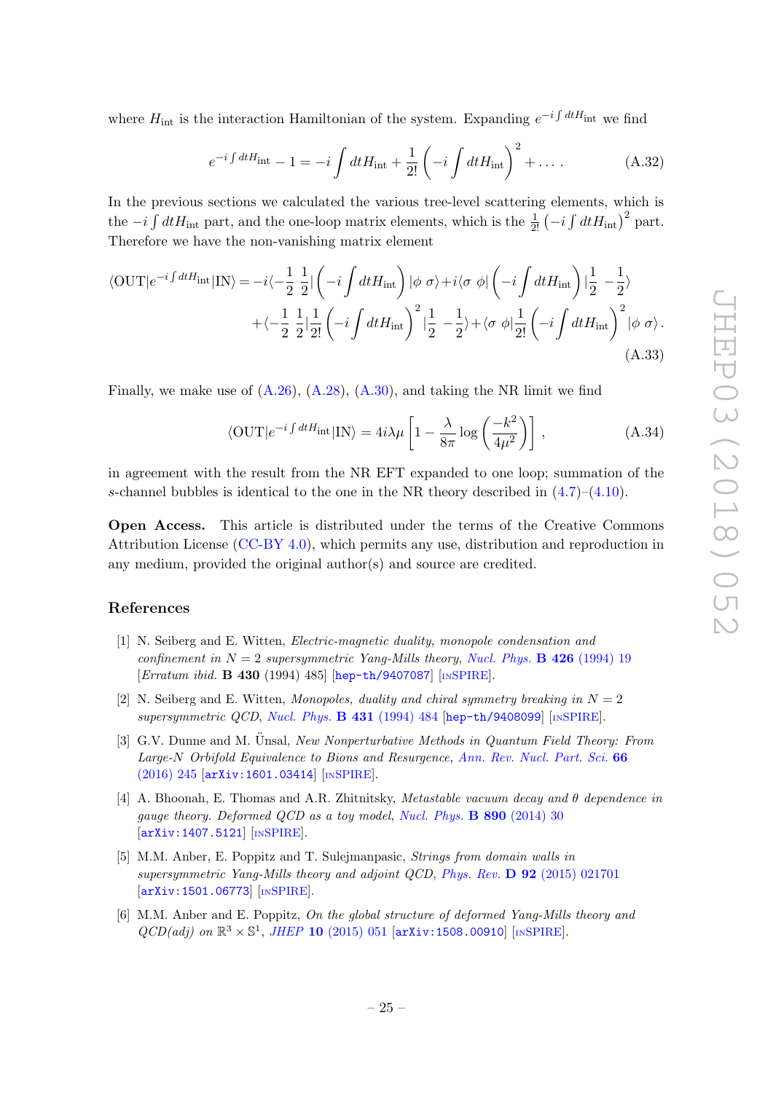where  $H_{\text{int}}$  is the interaction Hamiltonian of the system. Expanding  $e^{-i \int dt H_{\text{int}}}$  we find

$$
e^{-i\int dt H_{\rm int}} - 1 = -i \int dt H_{\rm int} + \frac{1}{2!} \left( -i \int dt H_{\rm int} \right)^2 + \dots \tag{A.32}
$$

In the previous sections we calculated the various tree-level scattering elements, which is the  $-i \int dt H_{\text{int}}$  part, and the one-loop matrix elements, which is the  $\frac{1}{2!}$   $\left(-i \int dt H_{\text{int}}\right)^2$  part. Therefore we have the non-vanishing matrix element

$$
\langle \text{OUT}|e^{-i\int dt H_{\text{int}}}|\text{IN}\rangle = -i\langle -\frac{1}{2}\frac{1}{2}|\left(-i\int dt H_{\text{int}}\right)|\phi\ \sigma\rangle + i\langle \sigma\ \phi|\left(-i\int dt H_{\text{int}}\right)|\frac{1}{2} - \frac{1}{2}\rangle
$$

$$
+\langle -\frac{1}{2}\frac{1}{2}|\frac{1}{2!}\left(-i\int dt H_{\text{int}}\right)^2|\frac{1}{2} - \frac{1}{2}\rangle + \langle \sigma\ \phi|\frac{1}{2!}\left(-i\int dt H_{\text{int}}\right)^2|\phi\ \sigma\rangle. \tag{A.33}
$$

Finally, we make use of  $(A.26)$ ,  $(A.28)$ ,  $(A.30)$ , and taking the NR limit we find

$$
\langle \text{OUT}|e^{-i\int dt H_{\text{int}}}|I\mathbf{N}\rangle = 4i\lambda\mu \left[1 - \frac{\lambda}{8\pi}\log\left(\frac{-k^2}{4\mu^2}\right)\right],\tag{A.34}
$$

in agreement with the result from the NR EFT expanded to one loop; summation of the s-channel bubbles is identical to the one in the NR theory described in  $(4.7)$ – $(4.10)$ .

Open Access. This article is distributed under the terms of the Creative Commons Attribution License [\(CC-BY 4.0\)](https://creativecommons.org/licenses/by/4.0/), which permits any use, distribution and reproduction in any medium, provided the original author(s) and source are credited.

#### References

- <span id="page-26-0"></span>[1] N. Seiberg and E. Witten, Electric-magnetic duality, monopole condensation and confinement in  $N = 2$  supersymmetric Yang-Mills theory, [Nucl. Phys.](https://doi.org/10.1016/0550-3213(94)90124-4) **B** 426 (1994) 19 [Erratum ibid. B 430 (1994) 485] [[hep-th/9407087](https://arxiv.org/abs/hep-th/9407087)] [IN[SPIRE](https://inspirehep.net/search?p=find+EPRINT+hep-th/9407087)].
- <span id="page-26-1"></span>[2] N. Seiberg and E. Witten, Monopoles, duality and chiral symmetry breaking in  $N = 2$ supersymmetric QCD, [Nucl. Phys.](https://doi.org/10.1016/0550-3213(94)90214-3)  $\bf{B}$  431 (1994) 484 [[hep-th/9408099](https://arxiv.org/abs/hep-th/9408099)] [IN[SPIRE](https://inspirehep.net/search?p=find+EPRINT+hep-th/9408099)].
- <span id="page-26-2"></span>[3] G.V. Dunne and M. Ünsal, New Nonperturbative Methods in Quantum Field Theory: From Large-N Orbifold Equivalence to Bions and Resurgence, [Ann. Rev. Nucl. Part. Sci.](https://doi.org/10.1146/annurev-nucl-102115-044755) 66 [\(2016\) 245](https://doi.org/10.1146/annurev-nucl-102115-044755) [[arXiv:1601.03414](https://arxiv.org/abs/1601.03414)] [IN[SPIRE](https://inspirehep.net/search?p=find+EPRINT+arXiv:1601.03414)].
- <span id="page-26-3"></span>[4] A. Bhoonah, E. Thomas and A.R. Zhitnitsky, Metastable vacuum decay and θ dependence in gauge theory. Deformed QCD as a toy model, [Nucl. Phys.](https://doi.org/10.1016/j.nuclphysb.2014.11.007) B 890 (2014) 30 [[arXiv:1407.5121](https://arxiv.org/abs/1407.5121)] [IN[SPIRE](https://inspirehep.net/search?p=find+EPRINT+arXiv:1407.5121)].
- [5] M.M. Anber, E. Poppitz and T. Sulejmanpasic, Strings from domain walls in supersymmetric Yang-Mills theory and adjoint QCD, Phys. Rev. D 92 [\(2015\) 021701](https://doi.org/10.1103/PhysRevD.92.021701) [[arXiv:1501.06773](https://arxiv.org/abs/1501.06773)] [IN[SPIRE](https://inspirehep.net/search?p=find+EPRINT+arXiv:1501.06773)].
- <span id="page-26-4"></span>[6] M.M. Anber and E. Poppitz, On the global structure of deformed Yang-Mills theory and  $QCD(adj)$  on  $\mathbb{R}^3 \times \mathbb{S}^1$ , JHEP 10 [\(2015\) 051](https://doi.org/10.1007/JHEP10(2015)051) [[arXiv:1508.00910](https://arxiv.org/abs/1508.00910)] [IN[SPIRE](https://inspirehep.net/search?p=find+EPRINT+arXiv:1508.00910)].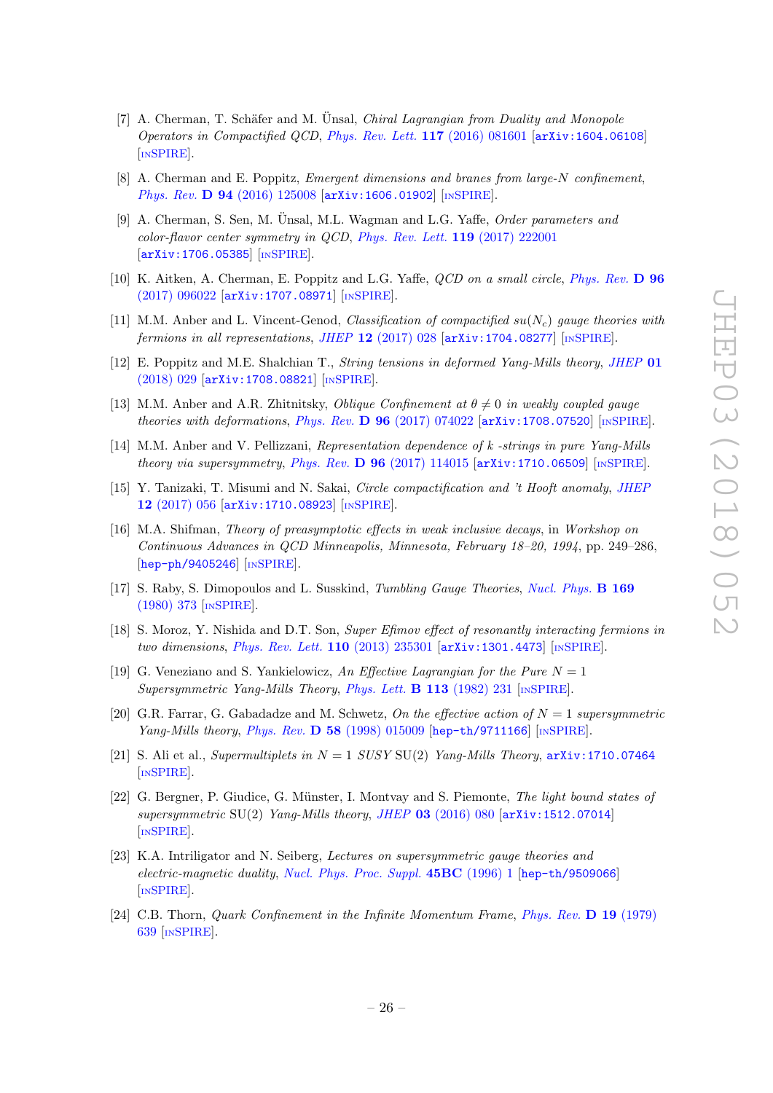- [7] A. Cherman, T. Schäfer and M. Ünsal, *Chiral Lagrangian from Duality and Monopole* Operators in Compactified QCD, [Phys. Rev. Lett.](https://doi.org/10.1103/PhysRevLett.117.081601) 117 (2016) 081601 [[arXiv:1604.06108](https://arxiv.org/abs/1604.06108)] [IN[SPIRE](https://inspirehep.net/search?p=find+EPRINT+arXiv:1604.06108)].
- <span id="page-27-11"></span>[8] A. Cherman and E. Poppitz, Emergent dimensions and branes from large-N confinement, Phys. Rev. D 94 [\(2016\) 125008](https://doi.org/10.1103/PhysRevD.94.125008) [[arXiv:1606.01902](https://arxiv.org/abs/1606.01902)] [IN[SPIRE](https://inspirehep.net/search?p=find+EPRINT+arXiv:1606.01902)].
- [9] A. Cherman, S. Sen, M. Unsal, M.L. Wagman and L.G. Yaffe, *Order parameters and* color-flavor center symmetry in QCD, [Phys. Rev. Lett.](https://doi.org/10.1103/PhysRevLett.119.222001) 119 (2017) 222001 [[arXiv:1706.05385](https://arxiv.org/abs/1706.05385)] [IN[SPIRE](https://inspirehep.net/search?p=find+EPRINT+arXiv:1706.05385)].
- <span id="page-27-1"></span>[10] K. Aitken, A. Cherman, E. Poppitz and L.G. Yaffe, *QCD on a small circle, [Phys. Rev.](https://doi.org/10.1103/PhysRevD.96.096022)* **D** 96 [\(2017\) 096022](https://doi.org/10.1103/PhysRevD.96.096022) [[arXiv:1707.08971](https://arxiv.org/abs/1707.08971)] [IN[SPIRE](https://inspirehep.net/search?p=find+EPRINT+arXiv:1707.08971)].
- [11] M.M. Anber and L. Vincent-Genod, Classification of compactified  $su(N_c)$  gauge theories with fermions in all representations, JHEP  $12$  [\(2017\) 028](https://doi.org/10.1007/JHEP12(2017)028) [[arXiv:1704.08277](https://arxiv.org/abs/1704.08277)] [IN[SPIRE](https://inspirehep.net/search?p=find+EPRINT+arXiv:1704.08277)].
- [12] E. Poppitz and M.E. Shalchian T., String tensions in deformed Yang-Mills theory, [JHEP](https://doi.org/10.1007/JHEP01(2018)029) 01 [\(2018\) 029](https://doi.org/10.1007/JHEP01(2018)029) [[arXiv:1708.08821](https://arxiv.org/abs/1708.08821)] [IN[SPIRE](https://inspirehep.net/search?p=find+EPRINT+arXiv:1708.08821)].
- [13] M.M. Anber and A.R. Zhitnitsky, Oblique Confinement at  $\theta \neq 0$  in weakly coupled gauge theories with deformations, Phys. Rev.  $D$  96 [\(2017\) 074022](https://doi.org/10.1103/PhysRevD.96.074022) [[arXiv:1708.07520](https://arxiv.org/abs/1708.07520)] [IN[SPIRE](https://inspirehep.net/search?p=find+EPRINT+arXiv:1708.07520)].
- [14] M.M. Anber and V. Pellizzani, Representation dependence of k -strings in pure Yang-Mills theory via supersymmetry, Phys. Rev. D  $96$  [\(2017\) 114015](https://doi.org/10.1103/PhysRevD.96.114015) [[arXiv:1710.06509](https://arxiv.org/abs/1710.06509)] [IN[SPIRE](https://inspirehep.net/search?p=find+EPRINT+arXiv:1710.06509)].
- <span id="page-27-0"></span>[15] Y. Tanizaki, T. Misumi and N. Sakai, Circle compactification and 't Hooft anomaly, [JHEP](https://doi.org/10.1007/JHEP12(2017)056) 12 [\(2017\) 056](https://doi.org/10.1007/JHEP12(2017)056) [[arXiv:1710.08923](https://arxiv.org/abs/1710.08923)] [IN[SPIRE](https://inspirehep.net/search?p=find+EPRINT+arXiv:1710.08923)].
- <span id="page-27-2"></span>[16] M.A. Shifman, Theory of preasymptotic effects in weak inclusive decays, in Workshop on Continuous Advances in QCD Minneapolis, Minnesota, February 18–20, 1994, pp. 249–286, [[hep-ph/9405246](https://arxiv.org/abs/hep-ph/9405246)] [IN[SPIRE](https://inspirehep.net/search?p=find+EPRINT+hep-ph/9405246)].
- <span id="page-27-3"></span>[17] S. Raby, S. Dimopoulos and L. Susskind, Tumbling Gauge Theories, [Nucl. Phys.](https://doi.org/10.1016/0550-3213(80)90093-0) B 169 [\(1980\) 373](https://doi.org/10.1016/0550-3213(80)90093-0) [IN[SPIRE](https://inspirehep.net/search?p=find+J+%22Nucl.Phys.,B169,373%22)].
- <span id="page-27-4"></span>[18] S. Moroz, Y. Nishida and D.T. Son, Super Efimov effect of resonantly interacting fermions in two dimensions, [Phys. Rev. Lett.](https://doi.org/10.1103/PhysRevLett.110.235301) 110 (2013) 235301 [[arXiv:1301.4473](https://arxiv.org/abs/1301.4473)] [IN[SPIRE](https://inspirehep.net/search?p=find+EPRINT+arXiv:1301.4473)].
- <span id="page-27-5"></span>[19] G. Veneziano and S. Yankielowicz, An Effective Lagrangian for the Pure  $N = 1$ Supersymmetric Yang-Mills Theory, [Phys. Lett.](https://doi.org/10.1016/0370-2693(82)90828-0) **B** 113 (1982) 231 [IN[SPIRE](https://inspirehep.net/search?p=find+J+%22Phys.Lett.,B113,231%22)].
- <span id="page-27-6"></span>[20] G.R. Farrar, G. Gabadadze and M. Schwetz, On the effective action of  $N = 1$  supersymmetric Yang-Mills theory, Phys. Rev.  $\overline{D}$  58 [\(1998\) 015009](https://doi.org/10.1103/PhysRevD.58.015009) [[hep-th/9711166](https://arxiv.org/abs/hep-th/9711166)] [IN[SPIRE](https://inspirehep.net/search?p=find+EPRINT+hep-th/9711166)].
- <span id="page-27-7"></span>[21] S. Ali et al., Supermultiplets in  $N = 1$  SUSY SU(2) Yang-Mills Theory,  $arXiv:1710.07464$ [IN[SPIRE](https://inspirehep.net/search?p=find+EPRINT+arXiv:1710.07464)].
- <span id="page-27-8"></span>[22] G. Bergner, P. Giudice, G. Münster, I. Montvay and S. Piemonte, The light bound states of supersymmetric SU(2) Yang-Mills theory, JHEP 03 [\(2016\) 080](https://doi.org/10.1007/JHEP03(2016)080)  $\left[$ [arXiv:1512.07014](https://arxiv.org/abs/1512.07014) $\right]$ [IN[SPIRE](https://inspirehep.net/search?p=find+EPRINT+arXiv:1512.07014)].
- <span id="page-27-9"></span>[23] K.A. Intriligator and N. Seiberg, Lectures on supersymmetric gauge theories and electric-magnetic duality, [Nucl. Phys. Proc. Suppl.](https://doi.org/10.1016/0920-5632(95)00626-5) 45BC (1996) 1 [[hep-th/9509066](https://arxiv.org/abs/hep-th/9509066)] [IN[SPIRE](https://inspirehep.net/search?p=find+EPRINT+hep-th/9509066)].
- <span id="page-27-10"></span>[24] C.B. Thorn, Quark Confinement in the Infinite Momentum Frame, [Phys. Rev.](https://doi.org/10.1103/PhysRevD.19.639) D 19 (1979) [639](https://doi.org/10.1103/PhysRevD.19.639) [IN[SPIRE](https://inspirehep.net/search?p=find+J+%22Phys.Rev.,D19,639%22)].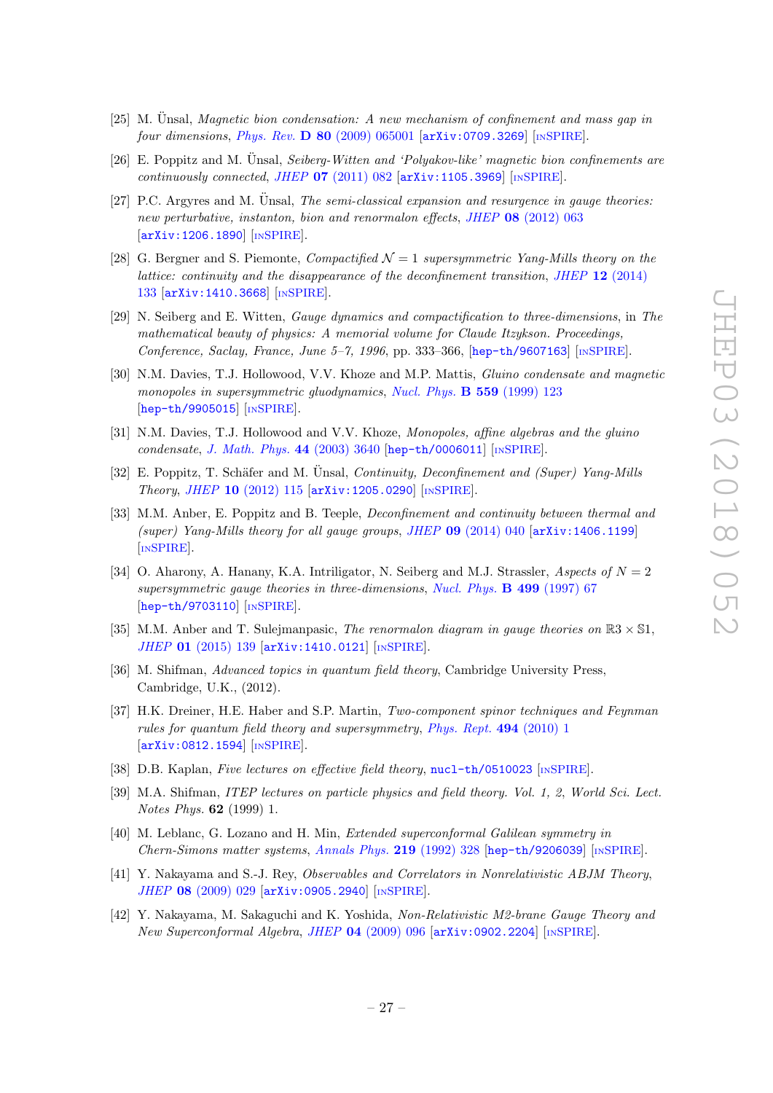- <span id="page-28-0"></span> $[25]$  M. Unsal, *Magnetic bion condensation: A new mechanism of confinement and mass gap in* four dimensions, Phys. Rev.  $D$  80 [\(2009\) 065001](https://doi.org/10.1103/PhysRevD.80.065001)  $arXiv:0709.3269$  [IN[SPIRE](https://inspirehep.net/search?p=find+EPRINT+arXiv:0709.3269)].
- $[26]$  E. Poppitz and M. Unsal, *Seiberg-Witten and 'Polyakov-like' magnetic bion confinements are* continuously connected, JHEP  $07$  [\(2011\) 082](https://doi.org/10.1007/JHEP07(2011)082)  $\text{arXiv:1105.3969}$  $\text{arXiv:1105.3969}$  $\text{arXiv:1105.3969}$  [IN[SPIRE](https://inspirehep.net/search?p=find+EPRINT+arXiv:1105.3969)].
- <span id="page-28-1"></span>[27] P.C. Argyres and M. Ünsal, *The semi-classical expansion and resurgence in gauge theories:* new perturbative, instanton, bion and renormalon effects, JHEP 08 [\(2012\) 063](https://doi.org/10.1007/JHEP08(2012)063) [[arXiv:1206.1890](https://arxiv.org/abs/1206.1890)] [IN[SPIRE](https://inspirehep.net/search?p=find+EPRINT+arXiv:1206.1890)].
- <span id="page-28-2"></span>[28] G. Bergner and S. Piemonte, *Compactified*  $\mathcal{N} = 1$  supersymmetric Yang-Mills theory on the lattice: continuity and the disappearance of the deconfinement transition, JHEP 12 [\(2014\)](https://doi.org/10.1007/JHEP12(2014)133) [133](https://doi.org/10.1007/JHEP12(2014)133) [[arXiv:1410.3668](https://arxiv.org/abs/1410.3668)] [IN[SPIRE](https://inspirehep.net/search?p=find+EPRINT+arXiv:1410.3668)].
- <span id="page-28-3"></span>[29] N. Seiberg and E. Witten, Gauge dynamics and compactification to three-dimensions, in The mathematical beauty of physics: A memorial volume for Claude Itzykson. Proceedings, Conference, Saclay, France, June 5-7, 1996, pp. 333-366, [[hep-th/9607163](https://arxiv.org/abs/hep-th/9607163)] [IN[SPIRE](https://inspirehep.net/search?p=find+EPRINT+hep-th/9607163)].
- <span id="page-28-4"></span>[30] N.M. Davies, T.J. Hollowood, V.V. Khoze and M.P. Mattis, Gluino condensate and magnetic monopoles in supersymmetric gluodynamics, [Nucl. Phys.](https://doi.org/10.1016/S0550-3213(99)00434-4) **B 559** (1999) 123 [[hep-th/9905015](https://arxiv.org/abs/hep-th/9905015)] [IN[SPIRE](https://inspirehep.net/search?p=find+EPRINT+hep-th/9905015)].
- <span id="page-28-5"></span>[31] N.M. Davies, T.J. Hollowood and V.V. Khoze, Monopoles, affine algebras and the gluino condensate, [J. Math. Phys.](https://doi.org/10.1063/1.1586477) 44 (2003) 3640 [[hep-th/0006011](https://arxiv.org/abs/hep-th/0006011)] [IN[SPIRE](https://inspirehep.net/search?p=find+EPRINT+hep-th/0006011)].
- <span id="page-28-6"></span>[32] E. Poppitz, T. Schäfer and M. Unsal, *Continuity, Deconfinement and (Super) Yang-Mills* Theory, JHEP 10 [\(2012\) 115](https://doi.org/10.1007/JHEP10(2012)115) [[arXiv:1205.0290](https://arxiv.org/abs/1205.0290)] [IN[SPIRE](https://inspirehep.net/search?p=find+EPRINT+arXiv:1205.0290)].
- <span id="page-28-7"></span>[33] M.M. Anber, E. Poppitz and B. Teeple, Deconfinement and continuity between thermal and (super) Yang-Mills theory for all gauge groups, JHEP  $09$  [\(2014\) 040](https://doi.org/10.1007/JHEP09(2014)040)  $\ar{xiv:1406.1199}$ [IN[SPIRE](https://inspirehep.net/search?p=find+EPRINT+arXiv:1406.1199)].
- <span id="page-28-9"></span>[34] O. Aharony, A. Hanany, K.A. Intriligator, N. Seiberg and M.J. Strassler, Aspects of  $N = 2$ supersymmetric gauge theories in three-dimensions, [Nucl. Phys.](https://doi.org/10.1016/S0550-3213(97)00323-4) **B 499** (1997) 67 [[hep-th/9703110](https://arxiv.org/abs/hep-th/9703110)] [IN[SPIRE](https://inspirehep.net/search?p=find+EPRINT+hep-th/9703110)].
- <span id="page-28-8"></span>[35] M.M. Anber and T. Sulejmanpasic, *The renormalon diagram in gauge theories on*  $\mathbb{R}3 \times \mathbb{S}1$ , JHEP 01 [\(2015\) 139](https://doi.org/10.1007/JHEP01(2015)139) [[arXiv:1410.0121](https://arxiv.org/abs/1410.0121)] [IN[SPIRE](https://inspirehep.net/search?p=find+EPRINT+arXiv:1410.0121)].
- <span id="page-28-10"></span>[36] M. Shifman, Advanced topics in quantum field theory, Cambridge University Press, Cambridge, U.K., (2012).
- <span id="page-28-11"></span>[37] H.K. Dreiner, H.E. Haber and S.P. Martin, Two-component spinor techniques and Feynman rules for quantum field theory and supersymmetry, [Phys. Rept.](https://doi.org/10.1016/j.physrep.2010.05.002) 494 (2010) 1 [[arXiv:0812.1594](https://arxiv.org/abs/0812.1594)] [IN[SPIRE](https://inspirehep.net/search?p=find+EPRINT+arXiv:0812.1594)].
- <span id="page-28-12"></span>[38] D.B. Kaplan, Five lectures on effective field theory, [nucl-th/0510023](https://arxiv.org/abs/nucl-th/0510023) [IN[SPIRE](https://inspirehep.net/search?p=find+EPRINT+nucl-th/0510023)].
- <span id="page-28-13"></span>[39] M.A. Shifman, ITEP lectures on particle physics and field theory. Vol. 1, 2, World Sci. Lect. Notes Phys. 62 (1999) 1.
- <span id="page-28-14"></span>[40] M. Leblanc, G. Lozano and H. Min, Extended superconformal Galilean symmetry in Chern-Simons matter systems, [Annals Phys.](https://doi.org/10.1016/0003-4916(92)90350-U) 219 (1992) 328 [[hep-th/9206039](https://arxiv.org/abs/hep-th/9206039)] [IN[SPIRE](https://inspirehep.net/search?p=find+EPRINT+hep-th/9206039)].
- <span id="page-28-16"></span>[41] Y. Nakayama and S.-J. Rey, Observables and Correlators in Nonrelativistic ABJM Theory, JHEP 08 [\(2009\) 029](https://doi.org/10.1088/1126-6708/2009/08/029) [[arXiv:0905.2940](https://arxiv.org/abs/0905.2940)] [IN[SPIRE](https://inspirehep.net/search?p=find+EPRINT+arXiv:0905.2940)].
- <span id="page-28-15"></span>[42] Y. Nakayama, M. Sakaguchi and K. Yoshida, Non-Relativistic M2-brane Gauge Theory and New Superconformal Algebra, JHEP 04 [\(2009\) 096](https://doi.org/10.1088/1126-6708/2009/04/096)  $\sigma$ xiv:0902.2204  $\sigma$  [IN[SPIRE](https://inspirehep.net/search?p=find+EPRINT+arXiv:0902.2204)].